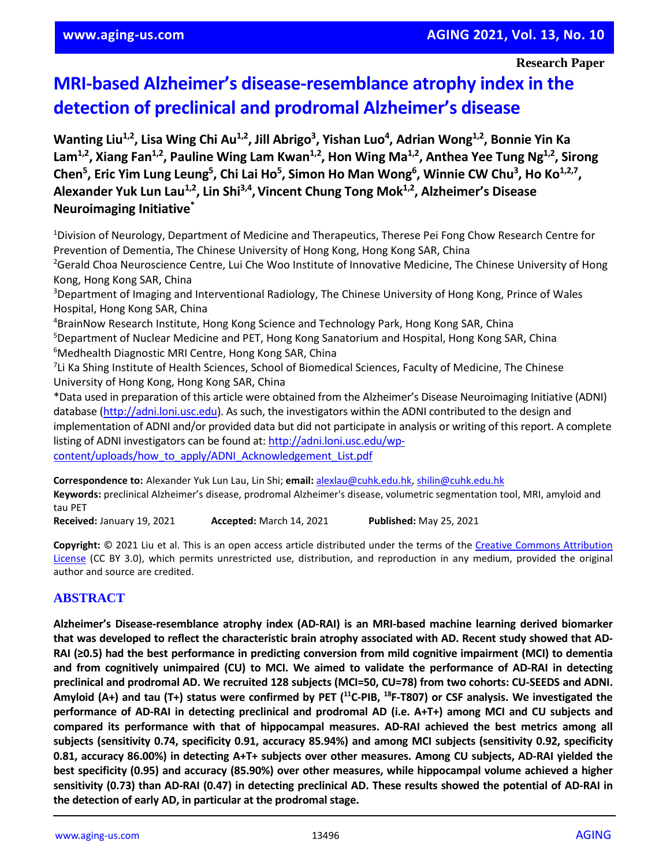## **Research Paper**

# **MRI-based Alzheimer's disease-resemblance atrophy index in the detection of preclinical and prodromal Alzheimer's disease**

Wanting Liu<sup>1,2</sup>, Lisa Wing Chi Au<sup>1,2</sup>, Jill Abrigo<sup>3</sup>, Yishan Luo<sup>4</sup>, Adrian Wong<sup>1,2</sup>, Bonnie Yin Ka Lam<sup>1,2</sup>, Xiang Fan<sup>1,2</sup>, Pauline Wing Lam Kwan<sup>1,2</sup>, Hon Wing Ma<sup>1,2</sup>, Anthea Yee Tung Ng<sup>1,2</sup>, Sirong Chen<sup>5</sup>, Eric Yim Lung Leung<sup>5</sup>, Chi Lai Ho<sup>5</sup>, Simon Ho Man Wong<sup>6</sup>, Winnie CW Chu<sup>3</sup>, Ho Ko<sup>1,2,7</sup>, **Alexander Yuk Lun Lau1,2 , Lin Shi3,4 ,Vincent Chung Tong Mok1,2 , Alzheimer's Disease Neuroimaging Initiative\***

<sup>1</sup>Division of Neurology, Department of Medicine and Therapeutics, Therese Pei Fong Chow Research Centre for Prevention of Dementia, The Chinese University of Hong Kong, Hong Kong SAR, China <sup>2</sup>Gerald Choa Neuroscience Centre, Lui Che Woo Institute of Innovative Medicine, The Chinese University of Hong

Kong, Hong Kong SAR, China <sup>3</sup>Department of Imaging and Interventional Radiology, The Chinese University of Hong Kong, Prince of Wales Hospital, Hong Kong SAR, China

<sup>4</sup>BrainNow Research Institute, Hong Kong Science and Technology Park, Hong Kong SAR, China <sup>5</sup>Department of Nuclear Medicine and PET, Hong Kong Sanatorium and Hospital, Hong Kong SAR, China <sup>6</sup>Medhealth Diagnostic MRI Centre, Hong Kong SAR, China

<sup>7</sup>Li Ka Shing Institute of Health Sciences, School of Biomedical Sciences, Faculty of Medicine, The Chinese University of Hong Kong, Hong Kong SAR, China

\*Data used in preparation of this article were obtained from the Alzheimer's Disease Neuroimaging Initiative (ADNI) database [\(http://adni.loni.usc.edu\)](http://adni.loni.usc.edu/). As such, the investigators within the ADNI contributed to the design and implementation of ADNI and/or provided data but did not participate in analysis or writing of this report. A complete listing of ADNI investigators can be found at[: http://adni.loni.usc.edu/wp](http://adni.loni.usc.edu/wp-content/uploads/how_to_apply/ADNI_Acknowledgement_List.pdf)[content/uploads/how\\_to\\_apply/ADNI\\_Acknowledgement\\_List.pdf](http://adni.loni.usc.edu/wp-content/uploads/how_to_apply/ADNI_Acknowledgement_List.pdf)

**Correspondence to:** Alexander Yuk Lun Lau, Lin Shi; **email:** [alexlau@cuhk.edu.hk,](mailto:alexlau@cuhk.edu.hk) [shilin@cuhk.edu.hk](mailto:shilin@cuhk.edu.hk) **Keywords:** preclinical Alzheimer's disease, prodromal Alzheimer's disease, volumetric segmentation tool, MRI, amyloid and tau PET

**Received:** January 19, 2021 **Accepted:** March 14, 2021 **Published:** May 25, 2021

**Copyright:** © 2021 Liu et al. This is an open access article distributed under the terms of the Creative Commons [Attribution](https://creativecommons.org/licenses/by/3.0/) [License](https://creativecommons.org/licenses/by/3.0/) (CC BY 3.0), which permits unrestricted use, distribution, and reproduction in any medium, provided the original author and source are credited.

# **ABSTRACT**

**Alzheimer's Disease-resemblance atrophy index (AD-RAI) is an MRI-based machine learning derived biomarker** that was developed to reflect the characteristic brain atrophy associated with AD. Recent study showed that AD-RAI ( $\geq$ 0.5) had the best performance in predicting conversion from mild cognitive impairment (MCI) to dementia **and from cognitively unimpaired (CU) to MCI. We aimed to validate the performance of AD-RAI in detecting preclinical and prodromal AD. We recruited 128 subjects (MCI=50, CU=78) from two cohorts: CU-SEEDS and ADNI.** Amyloid (A+) and tau (T+) status were confirmed by PET (<sup>11</sup>C-PIB, <sup>18</sup>F-T807) or CSF analysis. We investigated the **performance of AD-RAI in detecting preclinical and prodromal AD (i.e. A+T+) among MCI and CU subjects and compared its performance with that of hippocampal measures. AD-RAI achieved the best metrics among all subjects (sensitivity 0.74, specificity 0.91, accuracy 85.94%) and among MCI subjects (sensitivity 0.92, specificity 0.81, accuracy 86.00%) in detecting A+T+ subjects over other measures. Among CU subjects, AD-RAI yielded the best specificity (0.95) and accuracy (85.90%) over other measures, while hippocampal volume achieved a higher** sensitivity (0.73) than AD-RAI (0.47) in detecting preclinical AD. These results showed the potential of AD-RAI in **the detection of early AD, in particular at the prodromal stage.**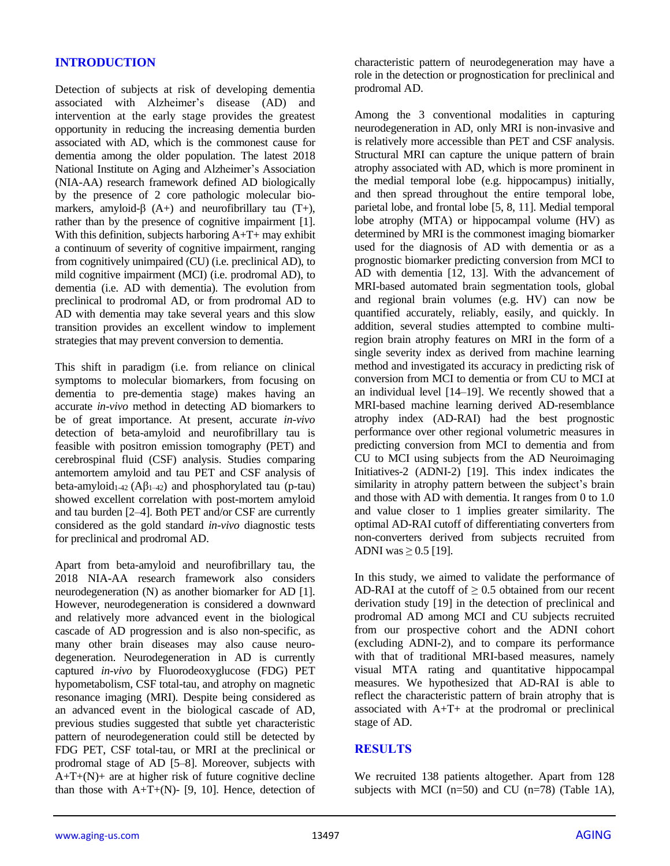## **INTRODUCTION**

Detection of subjects at risk of developing dementia associated with Alzheimer's disease (AD) and intervention at the early stage provides the greatest opportunity in reducing the increasing dementia burden associated with AD, which is the commonest cause for dementia among the older population. The latest 2018 National Institute on Aging and Alzheimer's Association (NIA-AA) research framework defined AD biologically by the presence of 2 core pathologic molecular biomarkers, amyloid- $\beta$  (A+) and neurofibrillary tau (T+), rather than by the presence of cognitive impairment [1]. With this definition, subjects harboring A+T+ may exhibit a continuum of severity of cognitive impairment, ranging from cognitively unimpaired (CU) (i.e. preclinical AD), to mild cognitive impairment (MCI) (i.e. prodromal AD), to dementia (i.e. AD with dementia). The evolution from preclinical to prodromal AD, or from prodromal AD to AD with dementia may take several years and this slow transition provides an excellent window to implement strategies that may prevent conversion to dementia.

This shift in paradigm (i.e. from reliance on clinical symptoms to molecular biomarkers, from focusing on dementia to pre-dementia stage) makes having an accurate *in-vivo* method in detecting AD biomarkers to be of great importance. At present, accurate *in-vivo* detection of beta-amyloid and neurofibrillary tau is feasible with positron emission tomography (PET) and cerebrospinal fluid (CSF) analysis. Studies comparing antemortem amyloid and tau PET and CSF analysis of beta-amyloid<sub>1-42</sub> (A $\beta$ <sub>1-42</sub>) and phosphorylated tau (p-tau) showed excellent correlation with post-mortem amyloid and tau burden [2–4]. Both PET and/or CSF are currently considered as the gold standard *in-vivo* diagnostic tests for preclinical and prodromal AD.

Apart from beta-amyloid and neurofibrillary tau, the 2018 NIA-AA research framework also considers neurodegeneration (N) as another biomarker for AD [1]. However, neurodegeneration is considered a downward and relatively more advanced event in the biological cascade of AD progression and is also non-specific, as many other brain diseases may also cause neurodegeneration. Neurodegeneration in AD is currently captured *in-vivo* by Fluorodeoxyglucose (FDG) PET hypometabolism, CSF total-tau, and atrophy on magnetic resonance imaging (MRI). Despite being considered as an advanced event in the biological cascade of AD, previous studies suggested that subtle yet characteristic pattern of neurodegeneration could still be detected by FDG PET, CSF total-tau, or MRI at the preclinical or prodromal stage of AD [5–8]. Moreover, subjects with  $A+T+(N)$ + are at higher risk of future cognitive decline than those with  $A+T+(N)$ - [9, 10]. Hence, detection of characteristic pattern of neurodegeneration may have a role in the detection or prognostication for preclinical and prodromal AD.

Among the 3 conventional modalities in capturing neurodegeneration in AD, only MRI is non-invasive and is relatively more accessible than PET and CSF analysis. Structural MRI can capture the unique pattern of brain atrophy associated with AD, which is more prominent in the medial temporal lobe (e.g. hippocampus) initially, and then spread throughout the entire temporal lobe, parietal lobe, and frontal lobe [5, 8, 11]. Medial temporal lobe atrophy (MTA) or hippocampal volume (HV) as determined by MRI is the commonest imaging biomarker used for the diagnosis of AD with dementia or as a prognostic biomarker predicting conversion from MCI to AD with dementia [12, 13]. With the advancement of MRI-based automated brain segmentation tools, global and regional brain volumes (e.g. HV) can now be quantified accurately, reliably, easily, and quickly. In addition, several studies attempted to combine multiregion brain atrophy features on MRI in the form of a single severity index as derived from machine learning method and investigated its accuracy in predicting risk of conversion from MCI to dementia or from CU to MCI at an individual level [14–19]. We recently showed that a MRI-based machine learning derived AD-resemblance atrophy index (AD-RAI) had the best prognostic performance over other regional volumetric measures in predicting conversion from MCI to dementia and from CU to MCI using subjects from the AD Neuroimaging Initiatives-2 (ADNI-2) [19]. This index indicates the similarity in atrophy pattern between the subject's brain and those with AD with dementia. It ranges from 0 to 1.0 and value closer to 1 implies greater similarity. The optimal AD-RAI cutoff of differentiating converters from non-converters derived from subjects recruited from ADNI was  $\geq$  0.5 [19].

In this study, we aimed to validate the performance of AD-RAI at the cutoff of  $\geq 0.5$  obtained from our recent derivation study [19] in the detection of preclinical and prodromal AD among MCI and CU subjects recruited from our prospective cohort and the ADNI cohort (excluding ADNI-2), and to compare its performance with that of traditional MRI-based measures, namely visual MTA rating and quantitative hippocampal measures. We hypothesized that AD-RAI is able to reflect the characteristic pattern of brain atrophy that is associated with A+T+ at the prodromal or preclinical stage of AD.

#### **RESULTS**

We recruited 138 patients altogether. Apart from 128 subjects with MCI  $(n=50)$  and CU  $(n=78)$  (Table 1A),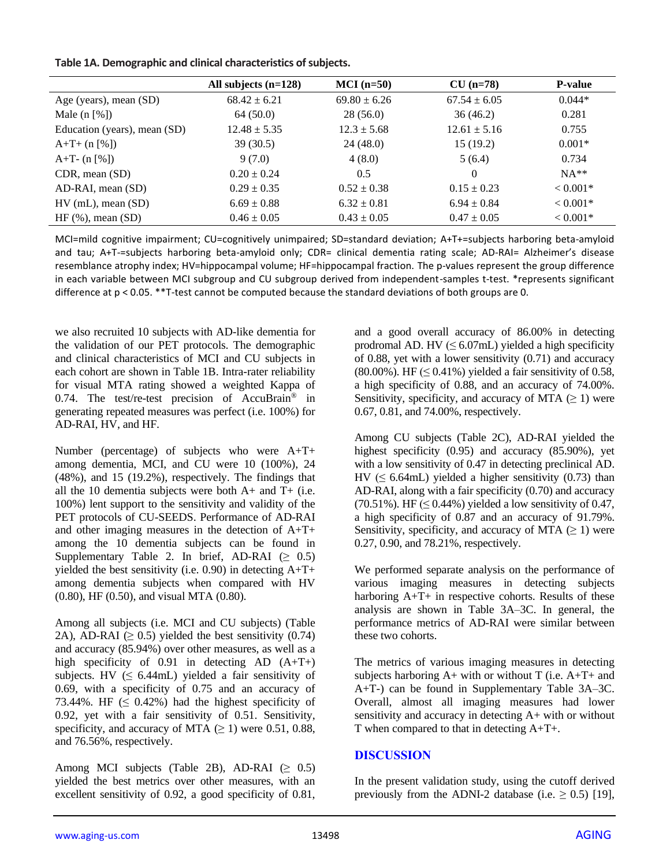|                                      | All subjects $(n=128)$ | $MCI(n=50)$      | $CU (n=78)$      | <b>P-value</b> |
|--------------------------------------|------------------------|------------------|------------------|----------------|
| Age (years), mean (SD)               | $68.42 \pm 6.21$       | $69.80 \pm 6.26$ | $67.54 \pm 6.05$ | $0.044*$       |
| Male $(n \lceil \frac{6}{6} \rceil)$ | 64 (50.0)              | 28(56.0)         | 36(46.2)         | 0.281          |
| Education (years), mean (SD)         | $12.48 \pm 5.35$       | $12.3 \pm 5.68$  | $12.61 \pm 5.16$ | 0.755          |
| $A+T+$ (n [%])                       | 39 (30.5)              | 24 (48.0)        | 15(19.2)         | $0.001*$       |
| A+T- $(n \, \lceil \sqrt[6]{})$      | 9(7.0)                 | 4(8.0)           | 5(6.4)           | 0.734          |
| $CDR$ , mean $(SD)$                  | $0.20 \pm 0.24$        | 0.5              | 0                | $NA**$         |
| AD-RAI, mean (SD)                    | $0.29 \pm 0.35$        | $0.52 \pm 0.38$  | $0.15 \pm 0.23$  | $< 0.001*$     |
| $HV$ (mL), mean (SD)                 | $6.69 \pm 0.88$        | $6.32 \pm 0.81$  | $6.94 \pm 0.84$  | $< 0.001*$     |
| HF $(\%)$ , mean $(SD)$              | $0.46 \pm 0.05$        | $0.43 \pm 0.05$  | $0.47 \pm 0.05$  | $< 0.001*$     |

MCI=mild cognitive impairment; CU=cognitively unimpaired; SD=standard deviation; A+T+=subjects harboring beta-amyloid and tau; A+T-=subjects harboring beta-amyloid only; CDR= clinical dementia rating scale; AD-RAI= Alzheimer's disease resemblance atrophy index; HV=hippocampal volume; HF=hippocampal fraction. The p-values represent the group difference in each variable between MCI subgroup and CU subgroup derived from independent-samples t-test. \*represents significant difference at p < 0.05. \*\*T-test cannot be computed because the standard deviations of both groups are 0.

we also recruited 10 subjects with AD-like dementia for the validation of our PET protocols. The demographic and clinical characteristics of MCI and CU subjects in each cohort are shown in Table 1B. Intra-rater reliability for visual MTA rating showed a weighted Kappa of 0.74. The test/re-test precision of AccuBrain® in generating repeated measures was perfect (i.e. 100%) for AD-RAI, HV, and HF.

Number (percentage) of subjects who were A+T+ among dementia, MCI, and CU were 10 (100%), 24 (48%), and 15 (19.2%), respectively. The findings that all the 10 dementia subjects were both  $A<sup>+</sup>$  and  $T<sup>+</sup>$  (i.e. 100%) lent support to the sensitivity and validity of the PET protocols of CU-SEEDS. Performance of AD-RAI and other imaging measures in the detection of A+T+ among the 10 dementia subjects can be found in Supplementary Table 2. In brief, AD-RAI  $(≥ 0.5)$ yielded the best sensitivity (i.e. 0.90) in detecting  $A+T+$ among dementia subjects when compared with HV (0.80), HF (0.50), and visual MTA (0.80).

Among all subjects (i.e. MCI and CU subjects) (Table 2A), AD-RAI  $(≥ 0.5)$  yielded the best sensitivity  $(0.74)$ and accuracy (85.94%) over other measures, as well as a high specificity of 0.91 in detecting AD  $(A+T+)$ subjects. HV  $( \leq 6.44 \text{ mL})$  yielded a fair sensitivity of 0.69, with a specificity of 0.75 and an accuracy of 73.44%. HF  $( \leq 0.42\%)$  had the highest specificity of 0.92, yet with a fair sensitivity of 0.51. Sensitivity, specificity, and accuracy of MTA  $(\geq 1)$  were 0.51, 0.88, and 76.56%, respectively.

Among MCI subjects (Table 2B), AD-RAI  $(≥ 0.5)$ yielded the best metrics over other measures, with an excellent sensitivity of 0.92, a good specificity of 0.81, and a good overall accuracy of 86.00% in detecting prodromal AD. HV  $(\leq 6.07$ mL) yielded a high specificity of 0.88, yet with a lower sensitivity (0.71) and accuracy  $(80.00\%)$ . HF  $(\leq 0.41\%)$  yielded a fair sensitivity of 0.58, a high specificity of 0.88, and an accuracy of 74.00%. Sensitivity, specificity, and accuracy of MTA  $(\geq 1)$  were 0.67, 0.81, and 74.00%, respectively.

Among CU subjects (Table 2C), AD-RAI yielded the highest specificity (0.95) and accuracy (85.90%), yet with a low sensitivity of 0.47 in detecting preclinical AD. HV ( $\leq$  6.64mL) yielded a higher sensitivity (0.73) than AD-RAI, along with a fair specificity (0.70) and accuracy (70.51%). HF ( $\leq$  0.44%) yielded a low sensitivity of 0.47, a high specificity of 0.87 and an accuracy of 91.79%. Sensitivity, specificity, and accuracy of MTA  $(≥ 1)$  were 0.27, 0.90, and 78.21%, respectively.

We performed separate analysis on the performance of various imaging measures in detecting subjects harboring  $A+T+$  in respective cohorts. Results of these analysis are shown in Table 3A–3C. In general, the performance metrics of AD-RAI were similar between these two cohorts.

The metrics of various imaging measures in detecting subjects harboring  $A+$  with or without T (i.e.  $A+T+$  and A+T-) can be found in Supplementary Table 3A–3C. Overall, almost all imaging measures had lower sensitivity and accuracy in detecting A+ with or without T when compared to that in detecting A+T+.

## **DISCUSSION**

In the present validation study, using the cutoff derived previously from the ADNI-2 database (i.e.  $\geq$  0.5) [19],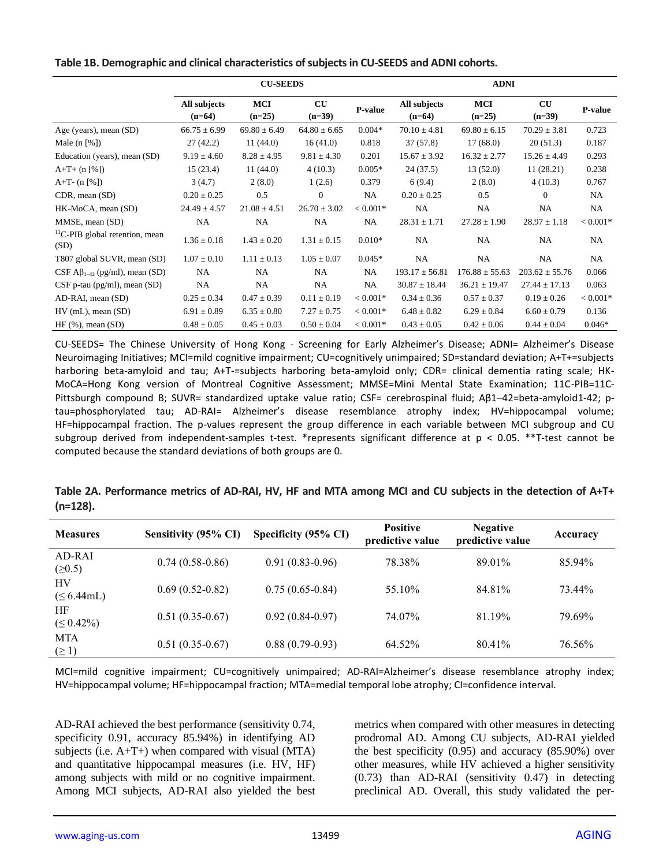| Table 1B. Demographic and clinical characteristics of subjects in CU-SEEDS and ADNI cohorts. |
|----------------------------------------------------------------------------------------------|
|----------------------------------------------------------------------------------------------|

|                                                    |                          | <b>CU-SEEDS</b>        |                       |            |                          | <b>ADNI</b>        |                                    |            |  |  |
|----------------------------------------------------|--------------------------|------------------------|-----------------------|------------|--------------------------|--------------------|------------------------------------|------------|--|--|
|                                                    | All subjects<br>$(n=64)$ | <b>MCI</b><br>$(n=25)$ | <b>CU</b><br>$(n=39)$ | P-value    | All subjects<br>$(n=64)$ | MCI<br>$(n=25)$    | $\mathbf{C}\mathbf{U}$<br>$(n=39)$ | P-value    |  |  |
| Age (years), mean (SD)                             | $66.75 \pm 6.99$         | $69.80 \pm 6.49$       | $64.80 \pm 6.65$      | $0.004*$   | $70.10 \pm 4.81$         | $69.80 \pm 6.15$   | $70.29 \pm 3.81$                   | 0.723      |  |  |
| Male $(n \lceil \% \rceil)$                        | 27(42.2)                 | 11(44.0)               | 16(41.0)              | 0.818      | 37(57.8)                 | 17(68.0)           | 20(51.3)                           | 0.187      |  |  |
| Education (years), mean (SD)                       | $9.19 \pm 4.60$          | $8.28 \pm 4.95$        | $9.81 \pm 4.30$       | 0.201      | $15.67 \pm 3.92$         | $16.32 \pm 2.77$   | $15.26 \pm 4.49$                   | 0.293      |  |  |
| $A+T+$ (n [%])                                     | 15(23.4)                 | 11(44.0)               | 4(10.3)               | $0.005*$   | 24(37.5)                 | 13(52.0)           | 11(28.21)                          | 0.238      |  |  |
| $A+T-$ (n [%])                                     | 3(4.7)                   | 2(8.0)                 | 1(2.6)                | 0.379      | 6(9.4)                   | 2(8.0)             | 4(10.3)                            | 0.767      |  |  |
| $CDR$ , mean $(SD)$                                | $0.20 \pm 0.25$          | 0.5                    | $\mathbf{0}$          | NA         | $0.20 \pm 0.25$          | 0.5                | $\theta$                           | NA         |  |  |
| HK-MoCA, mean (SD)                                 | $24.49 \pm 4.57$         | $21.08 \pm 4.51$       | $26.70 \pm 3.02$      | $< 0.001*$ | NA                       | NA                 | NA                                 | NA         |  |  |
| MMSE, mean (SD)                                    | NA                       | <b>NA</b>              | NA                    | NA         | $28.31 \pm 1.71$         | $27.28 \pm 1.90$   | $28.97 \pm 1.18$                   | $< 0.001*$ |  |  |
| <sup>11</sup> C-PIB global retention, mean<br>(SD) | $1.36 \pm 0.18$          | $1.43 \pm 0.20$        | $1.31 \pm 0.15$       | $0.010*$   | <b>NA</b>                | NA                 | NA                                 | NA         |  |  |
| T807 global SUVR, mean (SD)                        | $1.07 \pm 0.10$          | $1.11 \pm 0.13$        | $1.05 \pm 0.07$       | $0.045*$   | <b>NA</b>                | NA                 | NA                                 | NA         |  |  |
| CSF $\mathbf{A}\beta_{1-42}$ (pg/ml), mean (SD)    | NA                       | NA.                    | NA.                   | NA         | $193.17 \pm 56.81$       | $176.88 \pm 55.63$ | $203.62 \pm 55.76$                 | 0.066      |  |  |
| $CSF$ p-tau (pg/ml), mean (SD)                     | NA                       | NA                     | NA                    | NA         | $30.87 \pm 18.44$        | $36.21 \pm 19.47$  | $27.44 \pm 17.13$                  | 0.063      |  |  |
| AD-RAI, mean (SD)                                  | $0.25 \pm 0.34$          | $0.47 \pm 0.39$        | $0.11 \pm 0.19$       | $< 0.001*$ | $0.34 \pm 0.36$          | $0.57 \pm 0.37$    | $0.19 \pm 0.26$                    | $< 0.001*$ |  |  |
| $HV$ (mL), mean (SD)                               | $6.91 \pm 0.89$          | $6.35 \pm 0.80$        | $7.27 \pm 0.75$       | $< 0.001*$ | $6.48 \pm 0.82$          | $6.29 \pm 0.84$    | $6.60 \pm 0.79$                    | 0.136      |  |  |
| $HF(\%), \text{mean (SD)}$                         | $0.48 \pm 0.05$          | $0.45 \pm 0.03$        | $0.50 \pm 0.04$       | $< 0.001*$ | $0.43 \pm 0.05$          | $0.42 \pm 0.06$    | $0.44 \pm 0.04$                    | $0.046*$   |  |  |

CU-SEEDS= The Chinese University of Hong Kong - Screening for Early Alzheimer's Disease; ADNI= Alzheimer's Disease Neuroimaging Initiatives; MCI=mild cognitive impairment; CU=cognitively unimpaired; SD=standard deviation; A+T+=subjects harboring beta-amyloid and tau; A+T-=subjects harboring beta-amyloid only; CDR= clinical dementia rating scale; HK-MoCA=Hong Kong version of Montreal Cognitive Assessment; MMSE=Mini Mental State Examination; 11C-PIB=11C-Pittsburgh compound B; SUVR= standardized uptake value ratio; CSF= cerebrospinal fluid; Aβ1–42=beta-amyloid1-42; ptau=phosphorylated tau; AD-RAI= Alzheimer's disease resemblance atrophy index; HV=hippocampal volume; HF=hippocampal fraction. The p-values represent the group difference in each variable between MCI subgroup and CU subgroup derived from independent-samples t-test. \*represents significant difference at  $p < 0.05$ . \*\*T-test cannot be computed because the standard deviations of both groups are 0.

|            | Table 2A. Performance metrics of AD-RAI, HV, HF and MTA among MCI and CU subjects in the detection of A+T+ |  |  |  |  |  |
|------------|------------------------------------------------------------------------------------------------------------|--|--|--|--|--|
| $(n=128).$ |                                                                                                            |  |  |  |  |  |

| <b>Measures</b>          | Sensitivity (95% CI) | Specificity (95% CI) | <b>Positive</b><br>predictive value | <b>Negative</b><br>predictive value | Accuracy |
|--------------------------|----------------------|----------------------|-------------------------------------|-------------------------------------|----------|
| AD-RAI<br>(20.5)         | $0.74(0.58-0.86)$    | $0.91(0.83-0.96)$    | 78.38%                              | 89.01%                              | 85.94%   |
| HV<br>$(\leq 6.44$ mL)   | $0.69(0.52-0.82)$    | $0.75(0.65-0.84)$    | 55.10%                              | 84.81%                              | 73.44%   |
| HF<br>$( \leq 0.42\%)$   | $0.51(0.35-0.67)$    | $0.92(0.84-0.97)$    | 74.07%                              | 81.19%                              | 79.69%   |
| <b>MTA</b><br>$(\geq 1)$ | $0.51(0.35-0.67)$    | $0.88(0.79-0.93)$    | 64.52%                              | 80.41%                              | 76.56%   |

MCI=mild cognitive impairment; CU=cognitively unimpaired; AD-RAI=Alzheimer's disease resemblance atrophy index; HV=hippocampal volume; HF=hippocampal fraction; MTA=medial temporal lobe atrophy; CI=confidence interval.

AD-RAI achieved the best performance (sensitivity 0.74, specificity 0.91, accuracy 85.94%) in identifying AD subjects (i.e.  $A+T+$ ) when compared with visual (MTA) and quantitative hippocampal measures (i.e. HV, HF) among subjects with mild or no cognitive impairment. Among MCI subjects, AD-RAI also yielded the best

metrics when compared with other measures in detecting prodromal AD. Among CU subjects, AD-RAI yielded the best specificity (0.95) and accuracy (85.90%) over other measures, while HV achieved a higher sensitivity (0.73) than AD-RAI (sensitivity 0.47) in detecting preclinical AD. Overall, this study validated the per-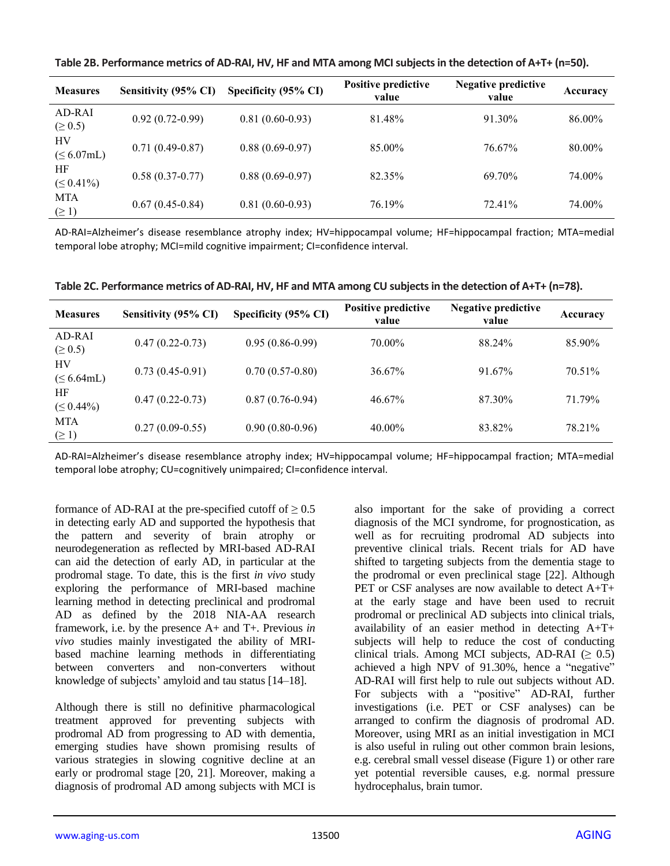| <b>Measures</b>          | Sensitivity (95% CI) | Specificity (95% CI) | <b>Positive predictive</b><br>value | <b>Negative predictive</b><br>value | Accuracy |
|--------------------------|----------------------|----------------------|-------------------------------------|-------------------------------------|----------|
| AD-RAI<br>$( \ge 0.5)$   | $0.92(0.72-0.99)$    | $0.81(0.60-0.93)$    | 81.48%                              | 91.30%                              | 86.00%   |
| HV<br>$(\leq 6.07$ mL)   | $0.71(0.49-0.87)$    | $0.88(0.69-0.97)$    | 85.00%                              | 76.67%                              | 80.00%   |
| HF<br>$( \le 0.41\%)$    | $0.58(0.37-0.77)$    | $0.88(0.69-0.97)$    | 82.35%                              | 69.70%                              | 74.00%   |
| <b>MTA</b><br>$(\geq 1)$ | $0.67(0.45-0.84)$    | $0.81(0.60-0.93)$    | 76.19%                              | 72.41%                              | 74.00%   |

**Table 2B. Performance metrics of AD-RAI, HV, HF and MTA among MCI subjects in the detection of A+T+ (n=50).**

AD-RAI=Alzheimer's disease resemblance atrophy index; HV=hippocampal volume; HF=hippocampal fraction; MTA=medial temporal lobe atrophy; MCI=mild cognitive impairment; CI=confidence interval.

| <b>Measures</b>        | Sensitivity (95% CI) | Specificity (95% CI) | <b>Positive predictive</b><br>value | Negative predictive<br>value | Accuracy |
|------------------------|----------------------|----------------------|-------------------------------------|------------------------------|----------|
| AD-RAI<br>$( \ge 0.5)$ | $0.47(0.22-0.73)$    | $0.95(0.86-0.99)$    | 70.00%                              | 88.24%                       | 85.90%   |
| HV<br>$(\leq 6.64$ mL) | $0.73(0.45-0.91)$    | $0.70(0.57-0.80)$    | 36.67%                              | 91.67%                       | 70.51%   |
| HF<br>$( \leq 0.44\%)$ | $0.47(0.22-0.73)$    | $0.87(0.76-0.94)$    | 46.67%                              | 87.30%                       | 71.79%   |
| MTA<br>$(\geq 1)$      | $0.27(0.09-0.55)$    | $0.90(0.80-0.96)$    | 40.00%                              | 83.82%                       | 78.21%   |

**Table 2C. Performance metrics of AD-RAI, HV, HF and MTA among CU subjects in the detection of A+T+ (n=78).**

AD-RAI=Alzheimer's disease resemblance atrophy index; HV=hippocampal volume; HF=hippocampal fraction; MTA=medial temporal lobe atrophy; CU=cognitively unimpaired; CI=confidence interval.

formance of AD-RAI at the pre-specified cutoff of  $\geq 0.5$ in detecting early AD and supported the hypothesis that the pattern and severity of brain atrophy or neurodegeneration as reflected by MRI-based AD-RAI can aid the detection of early AD, in particular at the prodromal stage. To date, this is the first *in vivo* study exploring the performance of MRI-based machine learning method in detecting preclinical and prodromal AD as defined by the 2018 NIA-AA research framework, i.e. by the presence A+ and T+. Previous *in vivo* studies mainly investigated the ability of MRIbased machine learning methods in differentiating between converters and non-converters without knowledge of subjects' amyloid and tau status [14–18].

Although there is still no definitive pharmacological treatment approved for preventing subjects with prodromal AD from progressing to AD with dementia, emerging studies have shown promising results of various strategies in slowing cognitive decline at an early or prodromal stage [20, 21]. Moreover, making a diagnosis of prodromal AD among subjects with MCI is

also important for the sake of providing a correct diagnosis of the MCI syndrome, for prognostication, as well as for recruiting prodromal AD subjects into preventive clinical trials. Recent trials for AD have shifted to targeting subjects from the dementia stage to the prodromal or even preclinical stage [22]. Although PET or CSF analyses are now available to detect A+T+ at the early stage and have been used to recruit prodromal or preclinical AD subjects into clinical trials, availability of an easier method in detecting A+T+ subjects will help to reduce the cost of conducting clinical trials. Among MCI subjects, AD-RAI  $(≥ 0.5)$ achieved a high NPV of 91.30%, hence a "negative" AD-RAI will first help to rule out subjects without AD. For subjects with a "positive" AD-RAI, further investigations (i.e. PET or CSF analyses) can be arranged to confirm the diagnosis of prodromal AD. Moreover, using MRI as an initial investigation in MCI is also useful in ruling out other common brain lesions, e.g. cerebral small vessel disease (Figure 1) or other rare yet potential reversible causes, e.g. normal pressure hydrocephalus, brain tumor.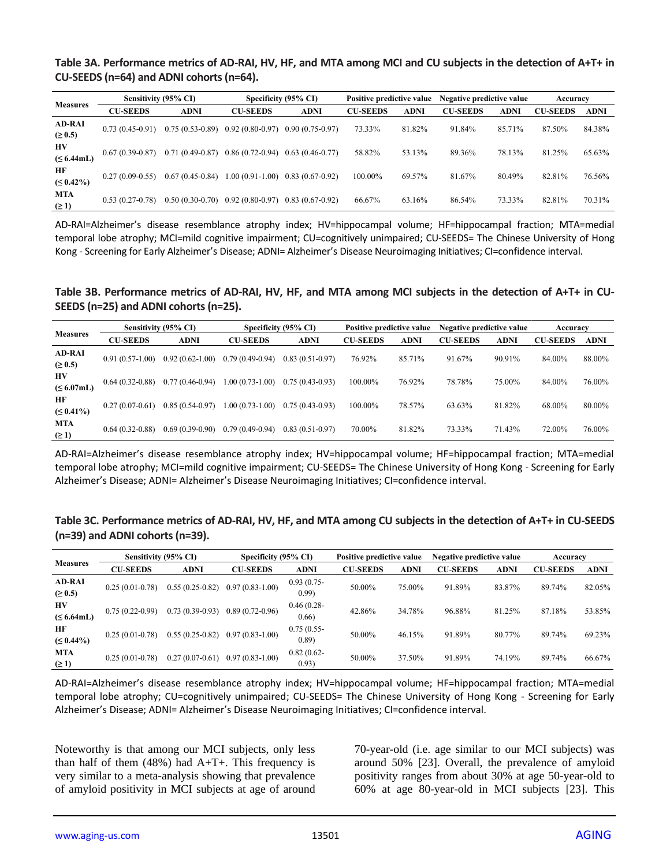#### **Table 3A. Performance metrics of AD-RAI, HV, HF, and MTA among MCI and CU subjects in the detection of A+T+ in CU-SEEDS (n=64) and ADNI cohorts (n=64).**

| <b>Measures</b>               | Sensitivity (95% CI) |                   |                   | Specificity (95% CI) | Positive predictive value |             | Negative predictive value |        | Accuracy        |             |
|-------------------------------|----------------------|-------------------|-------------------|----------------------|---------------------------|-------------|---------------------------|--------|-----------------|-------------|
|                               | <b>CU-SEEDS</b>      | <b>ADNI</b>       | <b>CU-SEEDS</b>   | <b>ADNI</b>          | <b>CU-SEEDS</b>           | <b>ADNI</b> | <b>CU-SEEDS</b>           | ADNI   | <b>CU-SEEDS</b> | <b>ADNI</b> |
| <b>AD-RAI</b><br>$( \ge 0.5)$ | $0.73(0.45-0.91)$    | $0.75(0.53-0.89)$ | $0.92(0.80-0.97)$ | $0.90(0.75-0.97)$    | 73.33%                    | 81.82%      | 91.84%                    | 85.71% | 87.50%          | 84.38%      |
| HV<br>$(\leq 6.44$ mL)        | $0.67(0.39-0.87)$    | $0.71(0.49-0.87)$ | $0.86(0.72-0.94)$ | $0.63(0.46-0.77)$    | 58.82%                    | 53.13%      | 89.36%                    | 78.13% | 81.25%          | 65.63%      |
| НF<br>$( \leq 0.42\%)$        | $0.27(0.09-0.55)$    | $0.67(0.45-0.84)$ | $1.00(0.91-1.00)$ | $0.83(0.67-0.92)$    | 100.00%                   | 69.57%      | 81.67%                    | 80.49% | 82.81%          | 76.56%      |
| <b>MTA</b><br>$(\geq 1)$      | $0.53(0.27-0.78)$    | $0.50(0.30-0.70)$ | $0.92(0.80-0.97)$ | $0.83(0.67-0.92)$    | 66.67%                    | 63.16%      | 86.54%                    | 73.33% | 82.81%          | 70.31%      |

AD-RAI=Alzheimer's disease resemblance atrophy index; HV=hippocampal volume; HF=hippocampal fraction; MTA=medial temporal lobe atrophy; MCI=mild cognitive impairment; CU=cognitively unimpaired; CU-SEEDS= The Chinese University of Hong Kong - Screening for Early Alzheimer's Disease; ADNI= Alzheimer's Disease Neuroimaging Initiatives; CI=confidence interval.

**Table 3B. Performance metrics of AD-RAI, HV, HF, and MTA among MCI subjects in the detection of A+T+ in CU-SEEDS (n=25) and ADNI cohorts (n=25).**

| <b>Measures</b>               |                   | Sensitivity (95% CI) |                   | Specificity (95% CI) | Positive predictive value |             | Negative predictive value |             | Accuracy        |             |
|-------------------------------|-------------------|----------------------|-------------------|----------------------|---------------------------|-------------|---------------------------|-------------|-----------------|-------------|
|                               | <b>CU-SEEDS</b>   | <b>ADNI</b>          | <b>CU-SEEDS</b>   | <b>ADNI</b>          | <b>CU-SEEDS</b>           | <b>ADNI</b> | <b>CU-SEEDS</b>           | <b>ADNI</b> | <b>CU-SEEDS</b> | <b>ADNI</b> |
| <b>AD-RAI</b><br>$( \ge 0.5)$ | $0.91(0.57-1.00)$ | $0.92(0.62 - 1.00)$  | $0.79(0.49-0.94)$ | $0.83(0.51-0.97)$    | 76.92%                    | 85.71%      | 91.67%                    | 90.91%      | 84.00%          | 88.00%      |
| HV<br>$(\leq 6.07$ mL)        | $0.64(0.32-0.88)$ | $0.77(0.46-0.94)$    | $1.00(0.73-1.00)$ | $0.75(0.43-0.93)$    | 100.00%                   | 76.92%      | 78.78%                    | 75.00%      | 84.00%          | 76.00%      |
| НF<br>$( \leq 0.41\%)$        | $0.27(0.07-0.61)$ | $0.85(0.54-0.97)$    | $1.00(0.73-1.00)$ | $0.75(0.43-0.93)$    | 100.00%                   | 78.57%      | 63.63%                    | 81.82%      | 68.00%          | 80.00%      |
| <b>MTA</b><br>$(\geq 1)$      | $0.64(0.32-0.88)$ | $0.69(0.39-0.90)$    | $0.79(0.49-0.94)$ | $0.83(0.51-0.97)$    | 70.00%                    | 81.82%      | 73.33%                    | 71.43%      | 72.00%          | 76.00%      |

AD-RAI=Alzheimer's disease resemblance atrophy index; HV=hippocampal volume; HF=hippocampal fraction; MTA=medial temporal lobe atrophy; MCI=mild cognitive impairment; CU-SEEDS= The Chinese University of Hong Kong - Screening for Early Alzheimer's Disease; ADNI= Alzheimer's Disease Neuroimaging Initiatives; CI=confidence interval.

| Table 3C. Performance metrics of AD-RAI, HV, HF, and MTA among CU subjects in the detection of A+T+ in CU-SEEDS |  |
|-----------------------------------------------------------------------------------------------------------------|--|
| $(n=39)$ and ADNI cohorts $(n=39)$ .                                                                            |  |

| <b>Measures</b>               | Sensitivity (95% CI) |                   | Specificity (95% CI) |                         | Positive predictive value |             | Negative predictive value |             | Accuracy        |             |
|-------------------------------|----------------------|-------------------|----------------------|-------------------------|---------------------------|-------------|---------------------------|-------------|-----------------|-------------|
|                               | <b>CU-SEEDS</b>      | <b>ADNI</b>       | <b>CU-SEEDS</b>      | <b>ADNI</b>             | <b>CU-SEEDS</b>           | <b>ADNI</b> | <b>CU-SEEDS</b>           | <b>ADNI</b> | <b>CU-SEEDS</b> | <b>ADNI</b> |
| <b>AD-RAI</b><br>$(\geq 0.5)$ | $0.25(0.01-0.78)$    | $0.55(0.25-0.82)$ | $0.97(0.83-1.00)$    | $0.93(0.75 -$<br>(0.99) | 50.00%                    | 75.00%      | 91.89%                    | 83.87%      | 89.74%          | 82.05%      |
| HV<br>$(\leq 6.64$ mL)        | $0.75(0.22-0.99)$    | $0.73(0.39-0.93)$ | $0.89(0.72-0.96)$    | $0.46(0.28 -$<br>0.66)  | 42.86%                    | 34.78%      | 96.88%                    | 81.25%      | 87.18%          | 53.85%      |
| НF<br>$( \leq 0.44\%)$        | $0.25(0.01-0.78)$    | $0.55(0.25-0.82)$ | $0.97(0.83-1.00)$    | $0.75(0.55 -$<br>(0.89) | 50.00%                    | 46.15%      | 91.89%                    | 80.77%      | 89.74%          | 69.23%      |
| <b>MTA</b><br>$( \geq 1)$     | $0.25(0.01-0.78)$    | $0.27(0.07-0.61)$ | $0.97(0.83-1.00)$    | $0.82(0.62 -$<br>0.93)  | 50.00%                    | 37.50%      | 91.89%                    | 74.19%      | 89.74%          | 66.67%      |

AD-RAI=Alzheimer's disease resemblance atrophy index; HV=hippocampal volume; HF=hippocampal fraction; MTA=medial temporal lobe atrophy; CU=cognitively unimpaired; CU-SEEDS= The Chinese University of Hong Kong - Screening for Early Alzheimer's Disease; ADNI= Alzheimer's Disease Neuroimaging Initiatives; CI=confidence interval.

Noteworthy is that among our MCI subjects, only less than half of them  $(48%)$  had A+T+. This frequency is very similar to a meta-analysis showing that prevalence of amyloid positivity in MCI subjects at age of around 70-year-old (i.e. age similar to our MCI subjects) was around 50% [23]. Overall, the prevalence of amyloid positivity ranges from about 30% at age 50-year-old to 60% at age 80-year-old in MCI subjects [23]. This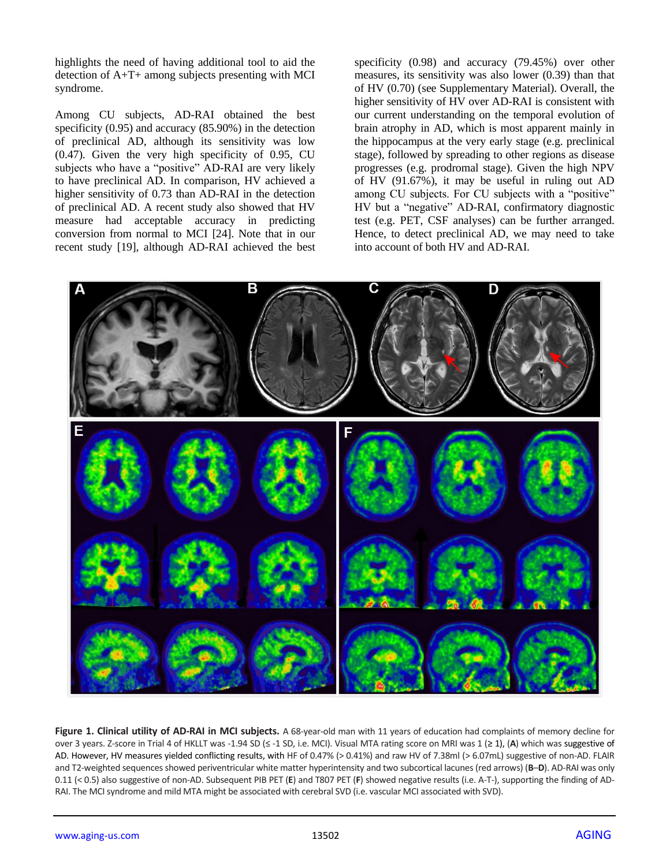highlights the need of having additional tool to aid the detection of A+T+ among subjects presenting with MCI syndrome.

Among CU subjects, AD-RAI obtained the best specificity (0.95) and accuracy (85.90%) in the detection of preclinical AD, although its sensitivity was low (0.47). Given the very high specificity of 0.95, CU subjects who have a "positive" AD-RAI are very likely to have preclinical AD. In comparison, HV achieved a higher sensitivity of 0.73 than AD-RAI in the detection of preclinical AD. A recent study also showed that HV measure had acceptable accuracy in predicting conversion from normal to MCI [24]. Note that in our recent study [19], although AD-RAI achieved the best

specificity (0.98) and accuracy (79.45%) over other measures, its sensitivity was also lower (0.39) than that of HV (0.70) (see Supplementary Material). Overall, the higher sensitivity of HV over AD-RAI is consistent with our current understanding on the temporal evolution of brain atrophy in AD, which is most apparent mainly in the hippocampus at the very early stage (e.g. preclinical stage), followed by spreading to other regions as disease progresses (e.g. prodromal stage). Given the high NPV of HV (91.67%), it may be useful in ruling out AD among CU subjects. For CU subjects with a "positive" HV but a "negative" AD-RAI, confirmatory diagnostic test (e.g. PET, CSF analyses) can be further arranged. Hence, to detect preclinical AD, we may need to take into account of both HV and AD-RAI.



**Figure 1. Clinical utility of AD-RAI in MCI subjects.** A 68-year-old man with 11 years of education had complaints of memory decline for over 3 years. Z-score in Trial 4 of HKLLT was -1.94 SD (≤ -1 SD, i.e. MCI). Visual MTA rating score on MRI was 1 (≥ 1), (**A**) which was suggestive of AD. However, HV measures yielded conflicting results, with HF of 0.47% (> 0.41%) and raw HV of 7.38ml (> 6.07mL) suggestive of non-AD. FLAIR and T2-weighted sequences showed periventricular white matter hyperintensity and two subcortical lacunes (red arrows) (**B**–**D**). AD-RAI was only 0.11 (< 0.5) also suggestive of non-AD. Subsequent PIB PET (**E**) and T807 PET (**F**) showed negative results (i.e. A-T-), supporting the finding of AD-RAI. The MCI syndrome and mild MTA might be associated with cerebral SVD (i.e. vascular MCI associated with SVD).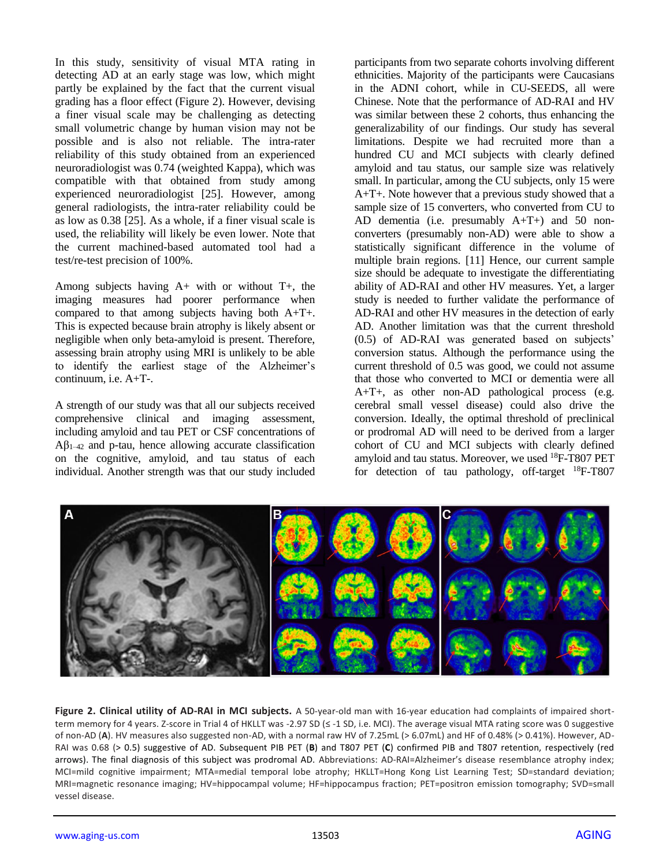In this study, sensitivity of visual MTA rating in detecting AD at an early stage was low, which might partly be explained by the fact that the current visual grading has a floor effect (Figure 2). However, devising a finer visual scale may be challenging as detecting small volumetric change by human vision may not be possible and is also not reliable. The intra-rater reliability of this study obtained from an experienced neuroradiologist was 0.74 (weighted Kappa), which was compatible with that obtained from study among experienced neuroradiologist [25]. However, among general radiologists, the intra-rater reliability could be as low as 0.38 [25]. As a whole, if a finer visual scale is used, the reliability will likely be even lower. Note that the current machined-based automated tool had a test/re-test precision of 100%.

Among subjects having A+ with or without T+, the imaging measures had poorer performance when compared to that among subjects having both A+T+. This is expected because brain atrophy is likely absent or negligible when only beta-amyloid is present. Therefore, assessing brain atrophy using MRI is unlikely to be able to identify the earliest stage of the Alzheimer's continuum, i.e. A+T-.

A strength of our study was that all our subjects received comprehensive clinical and imaging assessment, including amyloid and tau PET or CSF concentrations of  $A\beta_{1-42}$  and p-tau, hence allowing accurate classification on the cognitive, amyloid, and tau status of each individual. Another strength was that our study included participants from two separate cohorts involving different ethnicities. Majority of the participants were Caucasians in the ADNI cohort, while in CU-SEEDS, all were Chinese. Note that the performance of AD-RAI and HV was similar between these 2 cohorts, thus enhancing the generalizability of our findings. Our study has several limitations. Despite we had recruited more than a hundred CU and MCI subjects with clearly defined amyloid and tau status, our sample size was relatively small. In particular, among the CU subjects, only 15 were A+T+. Note however that a previous study showed that a sample size of 15 converters, who converted from CU to AD dementia (i.e. presumably  $A+T+$ ) and 50 nonconverters (presumably non-AD) were able to show a statistically significant difference in the volume of multiple brain regions. [11] Hence, our current sample size should be adequate to investigate the differentiating ability of AD-RAI and other HV measures. Yet, a larger study is needed to further validate the performance of AD-RAI and other HV measures in the detection of early AD. Another limitation was that the current threshold (0.5) of AD-RAI was generated based on subjects' conversion status. Although the performance using the current threshold of 0.5 was good, we could not assume that those who converted to MCI or dementia were all A+T+, as other non-AD pathological process (e.g. cerebral small vessel disease) could also drive the conversion. Ideally, the optimal threshold of preclinical or prodromal AD will need to be derived from a larger cohort of CU and MCI subjects with clearly defined amyloid and tau status. Moreover, we used <sup>18</sup>F-T807 PET for detection of tau pathology, off-target  $^{18}F- T807$ 



**Figure 2. Clinical utility of AD-RAI in MCI subjects.** A 50-year-old man with 16-year education had complaints of impaired shortterm memory for 4 years. Z-score in Trial 4 of HKLLT was -2.97 SD (≤ -1 SD, i.e. MCI). The average visual MTA rating score was 0 suggestive of non-AD (**A**). HV measures also suggested non-AD, with a normal raw HV of 7.25mL (> 6.07mL) and HF of 0.48% (> 0.41%). However, AD-RAI was 0.68 (> 0.5) suggestive of AD. Subsequent PIB PET (**B**) and T807 PET (**C**) confirmed PIB and T807 retention, respectively (red arrows). The final diagnosis of this subject was prodromal AD. Abbreviations: AD-RAI=Alzheimer's disease resemblance atrophy index; MCI=mild cognitive impairment; MTA=medial temporal lobe atrophy; HKLLT=Hong Kong List Learning Test; SD=standard deviation; MRI=magnetic resonance imaging; HV=hippocampal volume; HF=hippocampus fraction; PET=positron emission tomography; SVD=small vessel disease.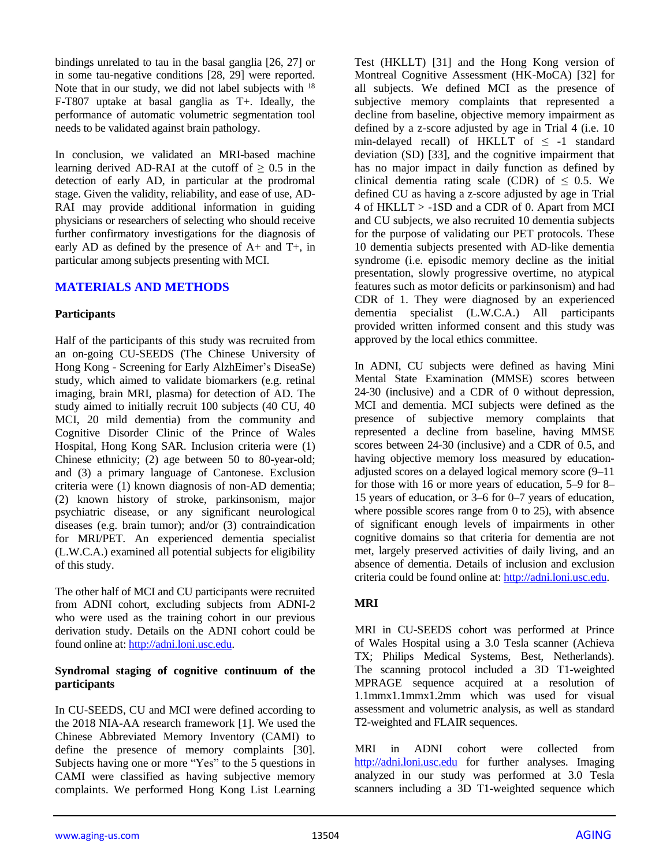bindings unrelated to tau in the basal ganglia [26, 27] or in some tau-negative conditions [28, 29] were reported. Note that in our study, we did not label subjects with <sup>18</sup> F-T807 uptake at basal ganglia as T+. Ideally, the performance of automatic volumetric segmentation tool needs to be validated against brain pathology.

In conclusion, we validated an MRI-based machine learning derived AD-RAI at the cutoff of  $\geq 0.5$  in the detection of early AD, in particular at the prodromal stage. Given the validity, reliability, and ease of use, AD-RAI may provide additional information in guiding physicians or researchers of selecting who should receive further confirmatory investigations for the diagnosis of early AD as defined by the presence of A+ and T+, in particular among subjects presenting with MCI.

### **MATERIALS AND METHODS**

#### **Participants**

Half of the participants of this study was recruited from an on-going CU-SEEDS (The Chinese University of Hong Kong - Screening for Early AlzhEimer's DiseaSe) study, which aimed to validate biomarkers (e.g. retinal imaging, brain MRI, plasma) for detection of AD. The study aimed to initially recruit 100 subjects (40 CU, 40 MCI, 20 mild dementia) from the community and Cognitive Disorder Clinic of the Prince of Wales Hospital, Hong Kong SAR. Inclusion criteria were (1) Chinese ethnicity; (2) age between 50 to 80-year-old; and (3) a primary language of Cantonese. Exclusion criteria were (1) known diagnosis of non-AD dementia; (2) known history of stroke, parkinsonism, major psychiatric disease, or any significant neurological diseases (e.g. brain tumor); and/or (3) contraindication for MRI/PET. An experienced dementia specialist (L.W.C.A.) examined all potential subjects for eligibility of this study.

The other half of MCI and CU participants were recruited from ADNI cohort, excluding subjects from ADNI-2 who were used as the training cohort in our previous derivation study. Details on the ADNI cohort could be found online at: [http://adni.loni.usc.edu.](http://adni.loni.usc.edu/)

#### **Syndromal staging of cognitive continuum of the participants**

In CU-SEEDS, CU and MCI were defined according to the 2018 NIA-AA research framework [1]. We used the Chinese Abbreviated Memory Inventory (CAMI) to define the presence of memory complaints [30]. Subjects having one or more "Yes" to the 5 questions in CAMI were classified as having subjective memory complaints. We performed Hong Kong List Learning

Test (HKLLT) [31] and the Hong Kong version of Montreal Cognitive Assessment (HK-MoCA) [32] for all subjects. We defined MCI as the presence of subjective memory complaints that represented a decline from baseline, objective memory impairment as defined by a z-score adjusted by age in Trial 4 (i.e. 10 min-delayed recall) of HKLLT of  $\leq$  -1 standard deviation (SD) [33], and the cognitive impairment that has no major impact in daily function as defined by clinical dementia rating scale (CDR) of  $\leq$  0.5. We defined CU as having a z-score adjusted by age in Trial 4 of HKLLT > -1SD and a CDR of 0. Apart from MCI and CU subjects, we also recruited 10 dementia subjects for the purpose of validating our PET protocols. These 10 dementia subjects presented with AD-like dementia syndrome (i.e. episodic memory decline as the initial presentation, slowly progressive overtime, no atypical features such as motor deficits or parkinsonism) and had CDR of 1. They were diagnosed by an experienced dementia specialist (L.W.C.A.) All participants provided written informed consent and this study was approved by the local ethics committee.

In ADNI, CU subjects were defined as having Mini Mental State Examination (MMSE) scores between 24-30 (inclusive) and a CDR of 0 without depression, MCI and dementia. MCI subjects were defined as the presence of subjective memory complaints that represented a decline from baseline, having MMSE scores between 24-30 (inclusive) and a CDR of 0.5, and having objective memory loss measured by educationadjusted scores on a delayed logical memory score (9–11 for those with 16 or more years of education, 5–9 for 8– 15 years of education, or 3–6 for 0–7 years of education, where possible scores range from 0 to 25), with absence of significant enough levels of impairments in other cognitive domains so that criteria for dementia are not met, largely preserved activities of daily living, and an absence of dementia. Details of inclusion and exclusion criteria could be found online at: [http://adni.loni.usc.edu.](http://adni.loni.usc.edu/)

#### **MRI**

MRI in CU-SEEDS cohort was performed at Prince of Wales Hospital using a 3.0 Tesla scanner (Achieva TX; Philips Medical Systems, Best, Netherlands). The scanning protocol included a 3D T1-weighted MPRAGE sequence acquired at a resolution of 1.1mmx1.1mmx1.2mm which was used for visual assessment and volumetric analysis, as well as standard T2-weighted and FLAIR sequences.

MRI in ADNI cohort were collected from [http://adni.loni.usc.edu](http://adni.loni.usc.edu/) for further analyses. Imaging analyzed in our study was performed at 3.0 Tesla scanners including a 3D T1-weighted sequence which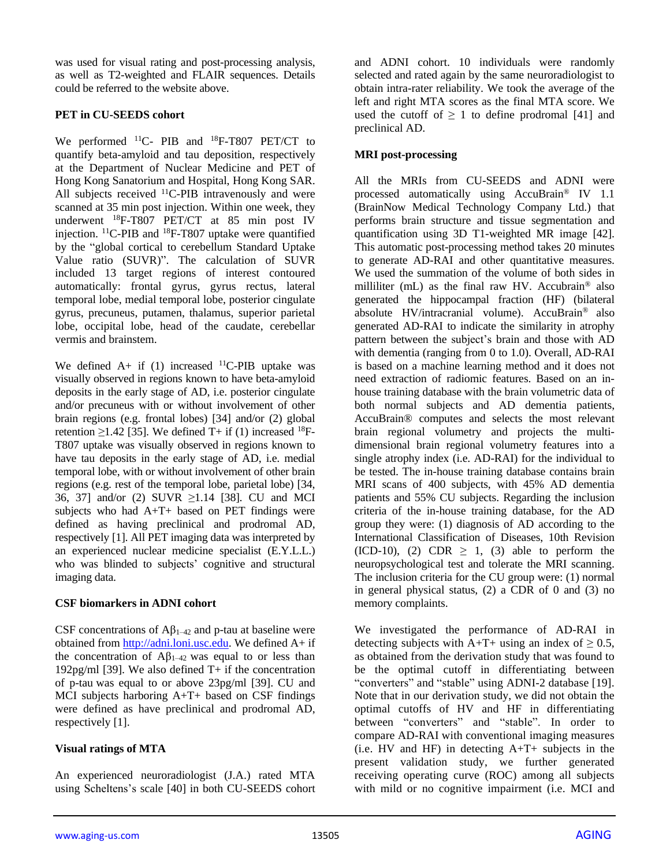was used for visual rating and post-processing analysis, as well as T2-weighted and FLAIR sequences. Details could be referred to the website above.

## **PET in CU-SEEDS cohort**

We performed <sup>11</sup>C- PIB and <sup>18</sup>F-T807 PET/CT to quantify beta-amyloid and tau deposition, respectively at the Department of Nuclear Medicine and PET of Hong Kong Sanatorium and Hospital, Hong Kong SAR. All subjects received  $^{11}$ C-PIB intravenously and were scanned at 35 min post injection. Within one week, they underwent <sup>18</sup>F-T807 PET/CT at 85 min post IV injection. <sup>11</sup>C-PIB and <sup>18</sup>F-T807 uptake were quantified by the "global cortical to cerebellum Standard Uptake Value ratio (SUVR)". The calculation of SUVR included 13 target regions of interest contoured automatically: frontal gyrus, gyrus rectus, lateral temporal lobe, medial temporal lobe, posterior cingulate gyrus, precuneus, putamen, thalamus, superior parietal lobe, occipital lobe, head of the caudate, cerebellar vermis and brainstem.

We defined  $A+$  if (1) increased <sup>11</sup>C-PIB uptake was visually observed in regions known to have beta-amyloid deposits in the early stage of AD, i.e. posterior cingulate and/or precuneus with or without involvement of other brain regions (e.g. frontal lobes) [34] and/or (2) global retention  $\geq$ 1.42 [35]. We defined T+ if (1) increased <sup>18</sup>F-T807 uptake was visually observed in regions known to have tau deposits in the early stage of AD, i.e. medial temporal lobe, with or without involvement of other brain regions (e.g. rest of the temporal lobe, parietal lobe) [34, 36, 37] and/or (2) SUVR ≥1.14 [38]. CU and MCI subjects who had A+T+ based on PET findings were defined as having preclinical and prodromal AD, respectively [1]. All PET imaging data was interpreted by an experienced nuclear medicine specialist (E.Y.L.L.) who was blinded to subjects' cognitive and structural imaging data.

#### **CSF biomarkers in ADNI cohort**

CSF concentrations of  $A\beta_{1-42}$  and p-tau at baseline were obtained from [http://adni.loni.usc.edu.](http://adni.loni.usc.edu/) We defined A+ if the concentration of  $A\beta_{1-42}$  was equal to or less than 192pg/ml [39]. We also defined T+ if the concentration of p-tau was equal to or above 23pg/ml [39]. CU and MCI subjects harboring A+T+ based on CSF findings were defined as have preclinical and prodromal AD, respectively [1].

## **Visual ratings of MTA**

An experienced neuroradiologist (J.A.) rated MTA using Scheltens's scale [40] in both CU-SEEDS cohort and ADNI cohort. 10 individuals were randomly selected and rated again by the same neuroradiologist to obtain intra-rater reliability. We took the average of the left and right MTA scores as the final MTA score. We used the cutoff of  $\geq 1$  to define prodromal [41] and preclinical AD.

## **MRI post-processing**

All the MRIs from CU-SEEDS and ADNI were processed automatically using AccuBrain® IV 1.1 (BrainNow Medical Technology Company Ltd.) that performs brain structure and tissue segmentation and quantification using 3D T1-weighted MR image [42]. This automatic post-processing method takes 20 minutes to generate AD-RAI and other quantitative measures. We used the summation of the volume of both sides in milliliter (mL) as the final raw HV. Accubrain® also generated the hippocampal fraction (HF) (bilateral absolute HV/intracranial volume). AccuBrain® also generated AD-RAI to indicate the similarity in atrophy pattern between the subject's brain and those with AD with dementia (ranging from 0 to 1.0). Overall, AD-RAI is based on a machine learning method and it does not need extraction of radiomic features. Based on an inhouse training database with the brain volumetric data of both normal subjects and AD dementia patients, AccuBrain® computes and selects the most relevant brain regional volumetry and projects the multidimensional brain regional volumetry features into a single atrophy index (i.e. AD-RAI) for the individual to be tested. The in-house training database contains brain MRI scans of 400 subjects, with 45% AD dementia patients and 55% CU subjects. Regarding the inclusion criteria of the in-house training database, for the AD group they were: (1) diagnosis of AD according to the International Classification of Diseases, 10th Revision (ICD-10), (2) CDR  $\geq$  1, (3) able to perform the neuropsychological test and tolerate the MRI scanning. The inclusion criteria for the CU group were: (1) normal in general physical status, (2) a CDR of 0 and (3) no memory complaints.

We investigated the performance of AD-RAI in detecting subjects with A+T+ using an index of  $\geq$  0.5, as obtained from the derivation study that was found to be the optimal cutoff in differentiating between "converters" and "stable" using ADNI-2 database [19]. Note that in our derivation study, we did not obtain the optimal cutoffs of HV and HF in differentiating between "converters" and "stable". In order to compare AD-RAI with conventional imaging measures  $(i.e. HV$  and HF) in detecting  $A+T+$  subjects in the present validation study, we further generated receiving operating curve (ROC) among all subjects with mild or no cognitive impairment (i.e. MCI and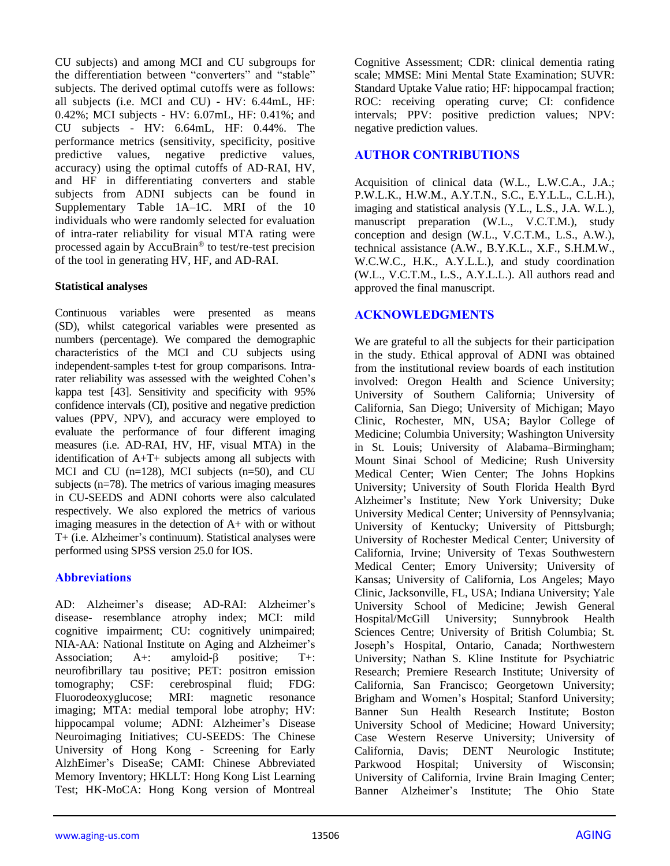CU subjects) and among MCI and CU subgroups for the differentiation between "converters" and "stable" subjects. The derived optimal cutoffs were as follows: all subjects (i.e. MCI and CU) - HV: 6.44mL, HF: 0.42%; MCI subjects - HV: 6.07mL, HF: 0.41%; and CU subjects - HV: 6.64mL, HF: 0.44%. The performance metrics (sensitivity, specificity, positive predictive values, negative predictive values, accuracy) using the optimal cutoffs of AD-RAI, HV, and HF in differentiating converters and stable subjects from ADNI subjects can be found in Supplementary Table 1A–1C. MRI of the 10 individuals who were randomly selected for evaluation of intra-rater reliability for visual MTA rating were processed again by AccuBrain® to test/re-test precision of the tool in generating HV, HF, and AD-RAI.

### **Statistical analyses**

Continuous variables were presented as means (SD), whilst categorical variables were presented as numbers (percentage). We compared the demographic characteristics of the MCI and CU subjects using independent-samples t-test for group comparisons. Intrarater reliability was assessed with the weighted Cohen's kappa test [43]. Sensitivity and specificity with 95% confidence intervals (CI), positive and negative prediction values (PPV, NPV), and accuracy were employed to evaluate the performance of four different imaging measures (i.e. AD-RAI, HV, HF, visual MTA) in the identification of A+T+ subjects among all subjects with MCI and CU (n=128), MCI subjects (n=50), and CU subjects (n=78). The metrics of various imaging measures in CU-SEEDS and ADNI cohorts were also calculated respectively. We also explored the metrics of various imaging measures in the detection of A+ with or without T+ (i.e. Alzheimer's continuum). Statistical analyses were performed using SPSS version 25.0 for IOS.

## **Abbreviations**

AD: Alzheimer's disease; AD-RAI: Alzheimer's disease- resemblance atrophy index; MCI: mild cognitive impairment; CU: cognitively unimpaired; NIA-AA: National Institute on Aging and Alzheimer's Association; A+: amyloid-β positive; T+: neurofibrillary tau positive; PET: positron emission tomography; CSF: cerebrospinal fluid; FDG: Fluorodeoxyglucose; MRI: magnetic resonance imaging; MTA: medial temporal lobe atrophy; HV: hippocampal volume; ADNI: Alzheimer's Disease Neuroimaging Initiatives; CU-SEEDS: The Chinese University of Hong Kong - Screening for Early AlzhEimer's DiseaSe; CAMI: Chinese Abbreviated Memory Inventory; HKLLT: Hong Kong List Learning Test; HK-MoCA: Hong Kong version of Montreal

Cognitive Assessment; CDR: clinical dementia rating scale; MMSE: Mini Mental State Examination; SUVR: Standard Uptake Value ratio; HF: hippocampal fraction; ROC: receiving operating curve; CI: confidence intervals; PPV: positive prediction values; NPV: negative prediction values.

# **AUTHOR CONTRIBUTIONS**

Acquisition of clinical data (W.L., L.W.C.A., J.A.; P.W.L.K., H.W.M., A.Y.T.N., S.C., E.Y.L.L., C.L.H.), imaging and statistical analysis (Y.L., L.S., J.A. W.L.), manuscript preparation (W.L., V.C.T.M.), study conception and design (W.L., V.C.T.M., L.S., A.W.), technical assistance (A.W., B.Y.K.L., X.F., S.H.M.W., W.C.W.C., H.K., A.Y.L.L.), and study coordination (W.L., V.C.T.M., L.S., A.Y.L.L.). All authors read and approved the final manuscript.

## **ACKNOWLEDGMENTS**

We are grateful to all the subjects for their participation in the study. Ethical approval of ADNI was obtained from the institutional review boards of each institution involved: Oregon Health and Science University; University of Southern California; University of California, San Diego; University of Michigan; Mayo Clinic, Rochester, MN, USA; Baylor College of Medicine; Columbia University; Washington University in St. Louis; University of Alabama–Birmingham; Mount Sinai School of Medicine; Rush University Medical Center; Wien Center; The Johns Hopkins University; University of South Florida Health Byrd Alzheimer's Institute; New York University; Duke University Medical Center; University of Pennsylvania; University of Kentucky; University of Pittsburgh; University of Rochester Medical Center; University of California, Irvine; University of Texas Southwestern Medical Center; Emory University; University of Kansas; University of California, Los Angeles; Mayo Clinic, Jacksonville, FL, USA; Indiana University; Yale University School of Medicine; Jewish General Hospital/McGill University; Sunnybrook Health Sciences Centre; University of British Columbia; St. Joseph's Hospital, Ontario, Canada; Northwestern University; Nathan S. Kline Institute for Psychiatric Research; Premiere Research Institute; University of California, San Francisco; Georgetown University; Brigham and Women's Hospital; Stanford University; Banner Sun Health Research Institute; Boston University School of Medicine; Howard University; Case Western Reserve University; University of California, Davis; DENT Neurologic Institute; Parkwood Hospital; University of Wisconsin; University of California, Irvine Brain Imaging Center; Banner Alzheimer's Institute; The Ohio State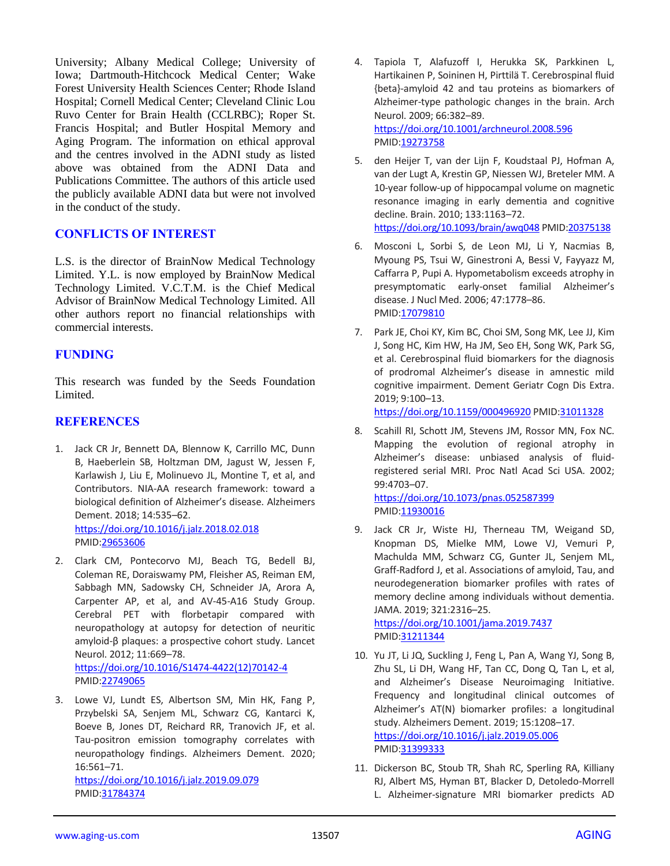University; Albany Medical College; University of Iowa; Dartmouth-Hitchcock Medical Center; Wake Forest University Health Sciences Center; Rhode Island Hospital; Cornell Medical Center; Cleveland Clinic Lou Ruvo Center for Brain Health (CCLRBC); Roper St. Francis Hospital; and Butler Hospital Memory and Aging Program. The information on ethical approval and the centres involved in the ADNI study as listed above was obtained from the ADNI Data and Publications Committee. The authors of this article used the publicly available ADNI data but were not involved in the conduct of the study.

## **CONFLICTS OF INTEREST**

L.S. is the director of BrainNow Medical Technology Limited. Y.L. is now employed by BrainNow Medical Technology Limited. V.C.T.M. is the Chief Medical Advisor of BrainNow Medical Technology Limited. All other authors report no financial relationships with commercial interests.

### **FUNDING**

This research was funded by the Seeds Foundation Limited.

#### **REFERENCES**

- 1. Jack CR Jr, Bennett DA, Blennow K, Carrillo MC, Dunn B, Haeberlein SB, Holtzman DM, Jagust W, Jessen F, Karlawish J, Liu E, Molinuevo JL, Montine T, et al, and Contributors. NIA-AA research framework: toward a biological definition of Alzheimer's disease. Alzheimers Dement. 2018; 14:535–62. <https://doi.org/10.1016/j.jalz.2018.02.018> PMID[:29653606](https://pubmed.ncbi.nlm.nih.gov/29653606)
- 2. Clark CM, Pontecorvo MJ, Beach TG, Bedell BJ, Coleman RE, Doraiswamy PM, Fleisher AS, Reiman EM, Sabbagh MN, Sadowsky CH, Schneider JA, Arora A, Carpenter AP, et al, and AV-45-A16 Study Group. Cerebral PET with florbetapir compared with neuropathology at autopsy for detection of neuritic amyloid-β plaques: a prospective cohort study. Lancet Neurol. 2012; 11:669–78.

[https://doi.org/10.1016/S1474-4422\(12\)70142-4](https://doi.org/10.1016/S1474-4422(12)70142-4) PMID[:22749065](https://pubmed.ncbi.nlm.nih.gov/22749065)

3. Lowe VJ, Lundt ES, Albertson SM, Min HK, Fang P, Przybelski SA, Senjem ML, Schwarz CG, Kantarci K, Boeve B, Jones DT, Reichard RR, Tranovich JF, et al. Tau-positron emission tomography correlates with neuropathology findings. Alzheimers Dement. 2020; 16:561–71.

<https://doi.org/10.1016/j.jalz.2019.09.079> PMID[:31784374](https://pubmed.ncbi.nlm.nih.gov/31784374)

- 4. Tapiola T, Alafuzoff I, Herukka SK, Parkkinen L, Hartikainen P, Soininen H, Pirttilä T. Cerebrospinal fluid {beta}-amyloid 42 and tau proteins as biomarkers of Alzheimer-type pathologic changes in the brain. Arch Neurol. 2009; 66:382–89. <https://doi.org/10.1001/archneurol.2008.596> PMI[D:19273758](https://pubmed.ncbi.nlm.nih.gov/19273758)
- 5. den Heijer T, van der Lijn F, Koudstaal PJ, Hofman A, van der Lugt A, Krestin GP, Niessen WJ, Breteler MM. A 10-year follow-up of hippocampal volume on magnetic resonance imaging in early dementia and cognitive decline. Brain. 2010; 133:1163–72. <https://doi.org/10.1093/brain/awq048> PMI[D:20375138](https://pubmed.ncbi.nlm.nih.gov/20375138)
- 6. Mosconi L, Sorbi S, de Leon MJ, Li Y, Nacmias B, Myoung PS, Tsui W, Ginestroni A, Bessi V, Fayyazz M, Caffarra P, Pupi A. Hypometabolism exceeds atrophy in presymptomatic early-onset familial Alzheimer's disease. J Nucl Med. 2006; 47:1778–86. PMID: 17079810
- 7. Park JE, Choi KY, Kim BC, Choi SM, Song MK, Lee JJ, Kim J, Song HC, Kim HW, Ha JM, Seo EH, Song WK, Park SG, et al. Cerebrospinal fluid biomarkers for the diagnosis of prodromal Alzheimer's disease in amnestic mild cognitive impairment. Dement Geriatr Cogn Dis Extra. 2019; 9:100–13.

<https://doi.org/10.1159/000496920> PMID[:31011328](https://pubmed.ncbi.nlm.nih.gov/31011328)

8. Scahill RI, Schott JM, Stevens JM, Rossor MN, Fox NC. Mapping the evolution of regional atrophy in Alzheimer's disease: unbiased analysis of fluidregistered serial MRI. Proc Natl Acad Sci USA. 2002; 99:4703–07. <https://doi.org/10.1073/pnas.052587399>

PMI[D:11930016](https://pubmed.ncbi.nlm.nih.gov/11930016)

9. Jack CR Jr, Wiste HJ, Therneau TM, Weigand SD, Knopman DS, Mielke MM, Lowe VJ, Vemuri P, Machulda MM, Schwarz CG, Gunter JL, Senjem ML, Graff-Radford J, et al. Associations of amyloid, Tau, and neurodegeneration biomarker profiles with rates of memory decline among individuals without dementia. JAMA. 2019; 321:2316–25. <https://doi.org/10.1001/jama.2019.7437>

PMI[D:31211344](https://pubmed.ncbi.nlm.nih.gov/31211344)

- 10. Yu JT, Li JQ, Suckling J, Feng L, Pan A, Wang YJ, Song B, Zhu SL, Li DH, Wang HF, Tan CC, Dong Q, Tan L, et al, and Alzheimer's Disease Neuroimaging Initiative. Frequency and longitudinal clinical outcomes of Alzheimer's AT(N) biomarker profiles: a longitudinal study. Alzheimers Dement. 2019; 15:1208–17. <https://doi.org/10.1016/j.jalz.2019.05.006> PMI[D:31399333](https://pubmed.ncbi.nlm.nih.gov/31399333)
- 11. Dickerson BC, Stoub TR, Shah RC, Sperling RA, Killiany RJ, Albert MS, Hyman BT, Blacker D, Detoledo-Morrell L. Alzheimer-signature MRI biomarker predicts AD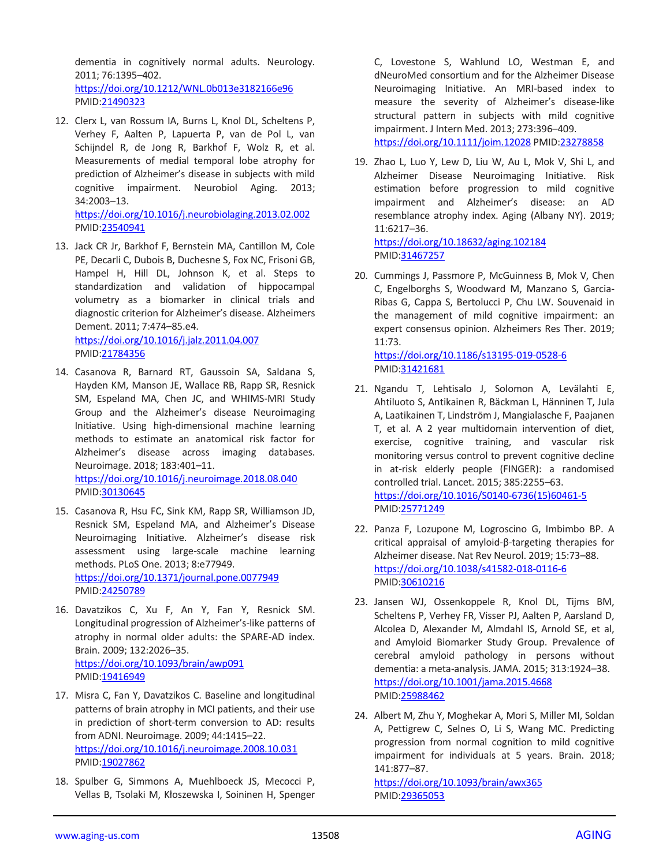dementia in cognitively normal adults. Neurology. 2011; 76:1395–402.

<https://doi.org/10.1212/WNL.0b013e3182166e96> PMID[:21490323](https://pubmed.ncbi.nlm.nih.gov/21490323)

12. Clerx L, van Rossum IA, Burns L, Knol DL, Scheltens P, Verhey F, Aalten P, Lapuerta P, van de Pol L, van Schijndel R, de Jong R, Barkhof F, Wolz R, et al. Measurements of medial temporal lobe atrophy for prediction of Alzheimer's disease in subjects with mild cognitive impairment. Neurobiol Aging. 2013; 34:2003–13.

<https://doi.org/10.1016/j.neurobiolaging.2013.02.002> PMID[:23540941](https://pubmed.ncbi.nlm.nih.gov/23540941)

- 13. Jack CR Jr, Barkhof F, Bernstein MA, Cantillon M, Cole PE, Decarli C, Dubois B, Duchesne S, Fox NC, Frisoni GB, Hampel H, Hill DL, Johnson K, et al. Steps to standardization and validation of hippocampal volumetry as a biomarker in clinical trials and diagnostic criterion for Alzheimer's disease. Alzheimers Dement. 2011; 7:474–85.e4. <https://doi.org/10.1016/j.jalz.2011.04.007> PMID[:21784356](https://pubmed.ncbi.nlm.nih.gov/21784356)
- 14. Casanova R, Barnard RT, Gaussoin SA, Saldana S, Hayden KM, Manson JE, Wallace RB, Rapp SR, Resnick SM, Espeland MA, Chen JC, and WHIMS-MRI Study Group and the Alzheimer's disease Neuroimaging Initiative. Using high-dimensional machine learning methods to estimate an anatomical risk factor for Alzheimer's disease across imaging databases. Neuroimage. 2018; 183:401–11. <https://doi.org/10.1016/j.neuroimage.2018.08.040> PMID[:30130645](https://pubmed.ncbi.nlm.nih.gov/30130645)
- 15. Casanova R, Hsu FC, Sink KM, Rapp SR, Williamson JD, Resnick SM, Espeland MA, and Alzheimer's Disease Neuroimaging Initiative. Alzheimer's disease risk assessment using large-scale machine learning methods. PLoS One. 2013; 8:e77949. <https://doi.org/10.1371/journal.pone.0077949> PMID[:24250789](https://pubmed.ncbi.nlm.nih.gov/24250789)
- 16. Davatzikos C, Xu F, An Y, Fan Y, Resnick SM. Longitudinal progression of Alzheimer's-like patterns of atrophy in normal older adults: the SPARE-AD index. Brain. 2009; 132:2026–35. <https://doi.org/10.1093/brain/awp091> PMID[:19416949](https://pubmed.ncbi.nlm.nih.gov/19416949)
- 17. Misra C, Fan Y, Davatzikos C. Baseline and longitudinal patterns of brain atrophy in MCI patients, and their use in prediction of short-term conversion to AD: results from ADNI. Neuroimage. 2009; 44:1415–22. <https://doi.org/10.1016/j.neuroimage.2008.10.031> PMID[:19027862](https://pubmed.ncbi.nlm.nih.gov/19027862)
- 18. Spulber G, Simmons A, Muehlboeck JS, Mecocci P, Vellas B, Tsolaki M, Kłoszewska I, Soininen H, Spenger

C, Lovestone S, Wahlund LO, Westman E, and dNeuroMed consortium and for the Alzheimer Disease Neuroimaging Initiative. An MRI-based index to measure the severity of Alzheimer's disease-like structural pattern in subjects with mild cognitive impairment. J Intern Med. 2013; 273:396–409. <https://doi.org/10.1111/joim.12028> PMID[:23278858](https://pubmed.ncbi.nlm.nih.gov/23278858)

19. Zhao L, Luo Y, Lew D, Liu W, Au L, Mok V, Shi L, and Alzheimer Disease Neuroimaging Initiative. Risk estimation before progression to mild cognitive impairment and Alzheimer's disease: an AD resemblance atrophy index. Aging (Albany NY). 2019; 11:6217–36.

<https://doi.org/10.18632/aging.102184> PMI[D:31467257](https://pubmed.ncbi.nlm.nih.gov/31467257)

20. Cummings J, Passmore P, McGuinness B, Mok V, Chen C, Engelborghs S, Woodward M, Manzano S, Garcia-Ribas G, Cappa S, Bertolucci P, Chu LW. Souvenaid in the management of mild cognitive impairment: an expert consensus opinion. Alzheimers Res Ther. 2019; 11:73.

<https://doi.org/10.1186/s13195-019-0528-6> PMI[D:31421681](https://pubmed.ncbi.nlm.nih.gov/31421681)

- 21. Ngandu T, Lehtisalo J, Solomon A, Levälahti E, Ahtiluoto S, Antikainen R, Bäckman L, Hänninen T, Jula A, Laatikainen T, Lindström J, Mangialasche F, Paajanen T, et al. A 2 year multidomain intervention of diet, exercise, cognitive training, and vascular risk monitoring versus control to prevent cognitive decline in at-risk elderly people (FINGER): a randomised controlled trial. Lancet. 2015; 385:2255–63. [https://doi.org/10.1016/S0140-6736\(15\)60461-5](https://doi.org/10.1016/S0140-6736(15)60461-5) PMI[D:25771249](https://pubmed.ncbi.nlm.nih.gov/25771249)
- 22. Panza F, Lozupone M, Logroscino G, Imbimbo BP. A critical appraisal of amyloid-β-targeting therapies for Alzheimer disease. Nat Rev Neurol. 2019; 15:73–88. <https://doi.org/10.1038/s41582-018-0116-6> PMI[D:30610216](https://pubmed.ncbi.nlm.nih.gov/30610216)
- 23. Jansen WJ, Ossenkoppele R, Knol DL, Tijms BM, Scheltens P, Verhey FR, Visser PJ, Aalten P, Aarsland D, Alcolea D, Alexander M, Almdahl IS, Arnold SE, et al, and Amyloid Biomarker Study Group. Prevalence of cerebral amyloid pathology in persons without dementia: a meta-analysis. JAMA. 2015; 313:1924–38. <https://doi.org/10.1001/jama.2015.4668> PMI[D:25988462](https://pubmed.ncbi.nlm.nih.gov/25988462)
- 24. Albert M, Zhu Y, Moghekar A, Mori S, Miller MI, Soldan A, Pettigrew C, Selnes O, Li S, Wang MC. Predicting progression from normal cognition to mild cognitive impairment for individuals at 5 years. Brain. 2018; 141:877–87.

<https://doi.org/10.1093/brain/awx365> PMI[D:29365053](https://pubmed.ncbi.nlm.nih.gov/29365053)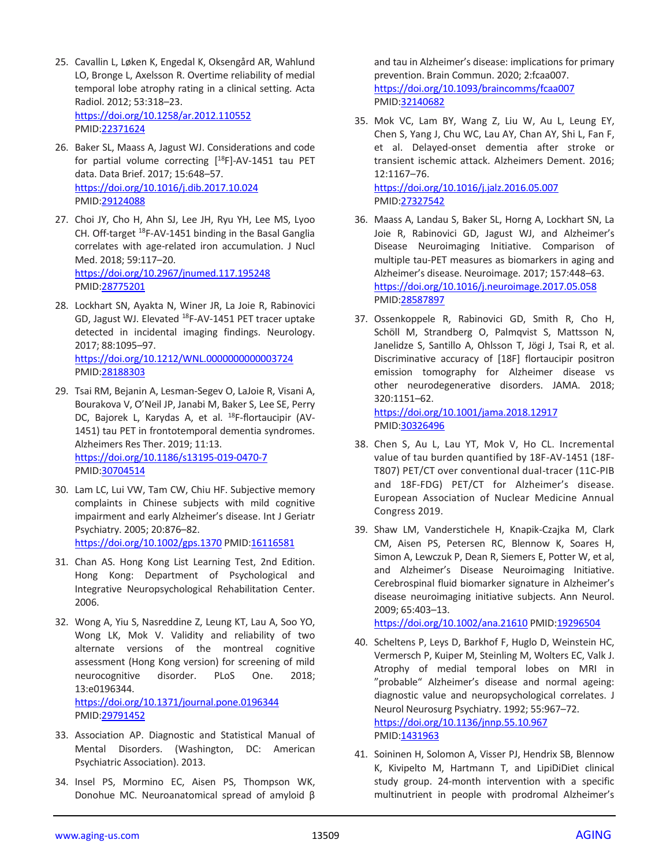- 25. Cavallin L, Løken K, Engedal K, Oksengård AR, Wahlund LO, Bronge L, Axelsson R. Overtime reliability of medial temporal lobe atrophy rating in a clinical setting. Acta Radiol. 2012; 53:318–23. <https://doi.org/10.1258/ar.2012.110552> PMID[:22371624](https://pubmed.ncbi.nlm.nih.gov/22371624)
- 26. Baker SL, Maass A, Jagust WJ. Considerations and code for partial volume correcting  $[$ <sup>18</sup>F]-AV-1451 tau PET data. Data Brief. 2017; 15:648–57. <https://doi.org/10.1016/j.dib.2017.10.024> PMID[:29124088](https://pubmed.ncbi.nlm.nih.gov/29124088)
- 27. Choi JY, Cho H, Ahn SJ, Lee JH, Ryu YH, Lee MS, Lyoo CH. Off-target <sup>18</sup>F-AV-1451 binding in the Basal Ganglia correlates with age-related iron accumulation. J Nucl Med. 2018; 59:117–20. <https://doi.org/10.2967/jnumed.117.195248> PMID[:28775201](https://pubmed.ncbi.nlm.nih.gov/28775201)
- 28. Lockhart SN, Ayakta N, Winer JR, La Joie R, Rabinovici GD, Jagust WJ. Elevated <sup>18</sup>F-AV-1451 PET tracer uptake detected in incidental imaging findings. Neurology. 2017; 88:1095–97. <https://doi.org/10.1212/WNL.0000000000003724> PMID[:28188303](https://pubmed.ncbi.nlm.nih.gov/28188303)
- 29. Tsai RM, Bejanin A, Lesman-Segev O, LaJoie R, Visani A, Bourakova V, O'Neil JP, Janabi M, Baker S, Lee SE, Perry DC, Bajorek L, Karydas A, et al. <sup>18</sup>F-flortaucipir (AV-1451) tau PET in frontotemporal dementia syndromes. Alzheimers Res Ther. 2019; 11:13. <https://doi.org/10.1186/s13195-019-0470-7> PMID[:30704514](https://pubmed.ncbi.nlm.nih.gov/30704514)
- 30. Lam LC, Lui VW, Tam CW, Chiu HF. Subjective memory complaints in Chinese subjects with mild cognitive impairment and early Alzheimer's disease. Int J Geriatr Psychiatry. 2005; 20:876–82. <https://doi.org/10.1002/gps.1370> PMID[:16116581](https://pubmed.ncbi.nlm.nih.gov/16116581)
- 31. Chan AS. Hong Kong List Learning Test, 2nd Edition. Hong Kong: Department of Psychological and Integrative Neuropsychological Rehabilitation Center. 2006.
- 32. Wong A, Yiu S, Nasreddine Z, Leung KT, Lau A, Soo YO, Wong LK, Mok V. Validity and reliability of two alternate versions of the montreal cognitive assessment (Hong Kong version) for screening of mild neurocognitive disorder. PLoS One. 2018; 13:e0196344. <https://doi.org/10.1371/journal.pone.0196344> PMID[:29791452](https://pubmed.ncbi.nlm.nih.gov/29791452)
- 33. Association AP. Diagnostic and Statistical Manual of Mental Disorders. (Washington, DC: American Psychiatric Association). 2013.
- 34. Insel PS, Mormino EC, Aisen PS, Thompson WK, Donohue MC. Neuroanatomical spread of amyloid β

and tau in Alzheimer's disease: implications for primary prevention. Brain Commun. 2020; 2:fcaa007. <https://doi.org/10.1093/braincomms/fcaa007> PMI[D:32140682](https://pubmed.ncbi.nlm.nih.gov/32140682)

35. Mok VC, Lam BY, Wang Z, Liu W, Au L, Leung EY, Chen S, Yang J, Chu WC, Lau AY, Chan AY, Shi L, Fan F, et al. Delayed-onset dementia after stroke or transient ischemic attack. Alzheimers Dement. 2016; 12:1167–76. <https://doi.org/10.1016/j.jalz.2016.05.007>

PMI[D:27327542](https://pubmed.ncbi.nlm.nih.gov/27327542)

- 36. Maass A, Landau S, Baker SL, Horng A, Lockhart SN, La Joie R, Rabinovici GD, Jagust WJ, and Alzheimer's Disease Neuroimaging Initiative. Comparison of multiple tau-PET measures as biomarkers in aging and Alzheimer's disease. Neuroimage. 2017; 157:448–63. <https://doi.org/10.1016/j.neuroimage.2017.05.058> PMI[D:28587897](https://pubmed.ncbi.nlm.nih.gov/28587897)
- 37. Ossenkoppele R, Rabinovici GD, Smith R, Cho H, Schöll M, Strandberg O, Palmqvist S, Mattsson N, Janelidze S, Santillo A, Ohlsson T, Jögi J, Tsai R, et al. Discriminative accuracy of [18F] flortaucipir positron emission tomography for Alzheimer disease vs other neurodegenerative disorders. JAMA. 2018; 320:1151–62. <https://doi.org/10.1001/jama.2018.12917>

PMI[D:30326496](https://pubmed.ncbi.nlm.nih.gov/30326496)

- 38. Chen S, Au L, Lau YT, Mok V, Ho CL. Incremental value of tau burden quantified by 18F-AV-1451 (18F-T807) PET/CT over conventional dual-tracer (11C-PIB and 18F-FDG) PET/CT for Alzheimer's disease. European Association of Nuclear Medicine Annual Congress 2019.
- 39. Shaw LM, Vanderstichele H, Knapik-Czajka M, Clark CM, Aisen PS, Petersen RC, Blennow K, Soares H, Simon A, Lewczuk P, Dean R, Siemers E, Potter W, et al, and Alzheimer's Disease Neuroimaging Initiative. Cerebrospinal fluid biomarker signature in Alzheimer's disease neuroimaging initiative subjects. Ann Neurol. 2009; 65:403–13.

<https://doi.org/10.1002/ana.21610> PMID[:19296504](https://pubmed.ncbi.nlm.nih.gov/19296504)

- 40. Scheltens P, Leys D, Barkhof F, Huglo D, Weinstein HC, Vermersch P, Kuiper M, Steinling M, Wolters EC, Valk J. Atrophy of medial temporal lobes on MRI in "probable" Alzheimer's disease and normal ageing: diagnostic value and neuropsychological correlates. J Neurol Neurosurg Psychiatry. 1992; 55:967–72. <https://doi.org/10.1136/jnnp.55.10.967> PMI[D:1431963](https://pubmed.ncbi.nlm.nih.gov/1431963)
- 41. Soininen H, Solomon A, Visser PJ, Hendrix SB, Blennow K, Kivipelto M, Hartmann T, and LipiDiDiet clinical study group. 24-month intervention with a specific multinutrient in people with prodromal Alzheimer's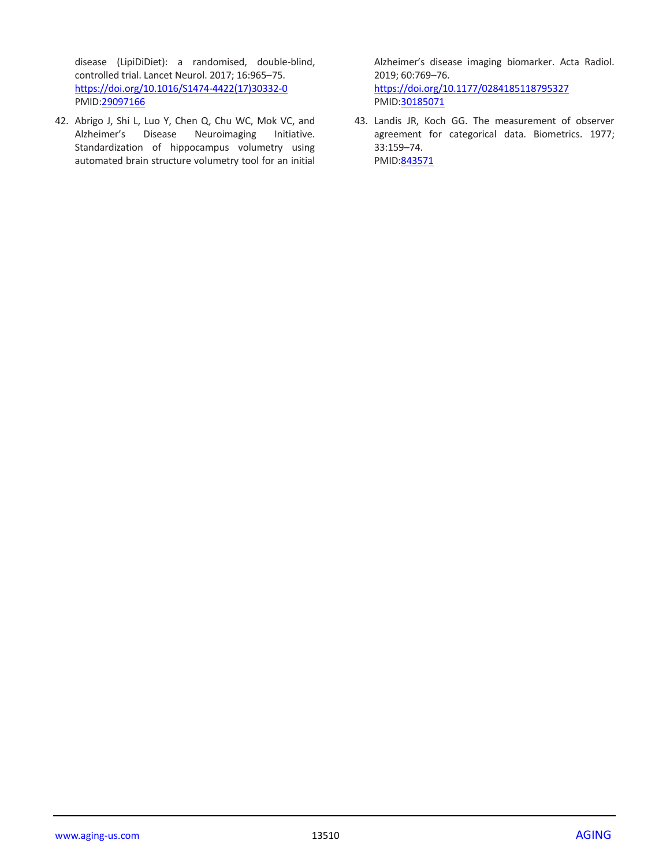disease (LipiDiDiet): a randomised, double-blind, controlled trial. Lancet Neurol. 2017; 16:965–75. [https://doi.org/10.1016/S1474-4422\(17\)30332-0](https://doi.org/10.1016/S1474-4422(17)30332-0) PMID[:29097166](https://pubmed.ncbi.nlm.nih.gov/29097166)

42. Abrigo J, Shi L, Luo Y, Chen Q, Chu WC, Mok VC, and Alzheimer's Disease Neuroimaging Initiative. Standardization of hippocampus volumetry using automated brain structure volumetry tool for an initial

Alzheimer's disease imaging biomarker. Acta Radiol. 2019; 60:769–76. <https://doi.org/10.1177/0284185118795327> PMI[D:30185071](https://pubmed.ncbi.nlm.nih.gov/30185071)

43. Landis JR, Koch GG. The measurement of observer agreement for categorical data. Biometrics. 1977; 33:159–74. PMID: 843571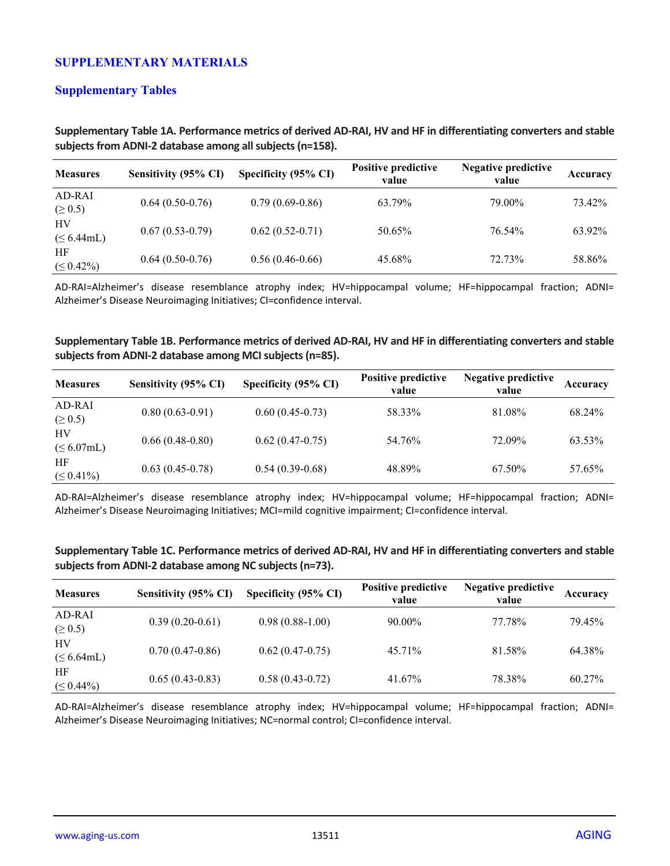## **SUPPLEMENTARY MATERIALS**

## **Supplementary Tables**

| <b>Measures</b>        | Sensitivity (95% CI) | Specificity (95% CI) | <b>Positive predictive</b><br>value | <b>Negative predictive</b><br>value | Accuracy |
|------------------------|----------------------|----------------------|-------------------------------------|-------------------------------------|----------|
| AD-RAI<br>$( \ge 0.5)$ | $0.64(0.50-0.76)$    | $0.79(0.69-0.86)$    | 63.79%                              | 79.00%                              | 73.42%   |
| HV<br>$(\leq 6.44$ mL) | $0.67(0.53-0.79)$    | $0.62(0.52-0.71)$    | 50.65%                              | 76.54%                              | 63.92%   |
| HF<br>$( \leq 0.42\%)$ | $0.64(0.50-0.76)$    | $0.56(0.46-0.66)$    | 45.68%                              | 72.73%                              | 58.86%   |

**Supplementary Table 1A. Performance metrics of derived AD-RAI, HV and HF in differentiating converters and stable subjects from ADNI-2 database among all subjects (n=158).**

AD-RAI=Alzheimer's disease resemblance atrophy index; HV=hippocampal volume; HF=hippocampal fraction; ADNI= Alzheimer's Disease Neuroimaging Initiatives; CI=confidence interval.

#### **Supplementary Table 1B. Performance metrics of derived AD-RAI, HV and HF in differentiating converters and stable subjects from ADNI-2 database among MCI subjects (n=85).**

| <b>Measures</b>        | Sensitivity (95% CI) | Specificity (95% CI) | <b>Positive predictive</b><br>value | <b>Negative predictive</b><br>value | Accuracy |
|------------------------|----------------------|----------------------|-------------------------------------|-------------------------------------|----------|
| AD-RAI<br>$( \ge 0.5)$ | $0.80(0.63-0.91)$    | $0.60(0.45-0.73)$    | 58.33%                              | 81.08%                              | 68.24%   |
| HV<br>$(\leq 6.07$ mL) | $0.66(0.48-0.80)$    | $0.62(0.47-0.75)$    | 54.76%                              | 72.09%                              | 63.53%   |
| HF<br>$(\leq 0.41\%)$  | $0.63(0.45-0.78)$    | $0.54(0.39-0.68)$    | 48.89%                              | 67.50%                              | 57.65%   |

AD-RAI=Alzheimer's disease resemblance atrophy index; HV=hippocampal volume; HF=hippocampal fraction; ADNI= Alzheimer's Disease Neuroimaging Initiatives; MCI=mild cognitive impairment; CI=confidence interval.

**Supplementary Table 1C. Performance metrics of derived AD-RAI, HV and HF in differentiating converters and stable subjects from ADNI-2 database among NC subjects (n=73).**

| <b>Measures</b>        | Sensitivity (95% CI) | Specificity (95% CI) | <b>Positive predictive</b><br>value | <b>Negative predictive</b><br>value | Accuracy |
|------------------------|----------------------|----------------------|-------------------------------------|-------------------------------------|----------|
| AD-RAI<br>$( \ge 0.5)$ | $0.39(0.20-0.61)$    | $0.98(0.88-1.00)$    | $90.00\%$                           | 77.78%                              | 79.45%   |
| HV<br>$(\leq 6.64$ mL) | $0.70(0.47-0.86)$    | $0.62(0.47-0.75)$    | 45.71%                              | 81.58%                              | 64.38%   |
| HF<br>$( \leq 0.44\%)$ | $0.65(0.43-0.83)$    | $0.58(0.43-0.72)$    | 41.67%                              | 78.38%                              | 60.27%   |

AD-RAI=Alzheimer's disease resemblance atrophy index; HV=hippocampal volume; HF=hippocampal fraction; ADNI= Alzheimer's Disease Neuroimaging Initiatives; NC=normal control; CI=confidence interval.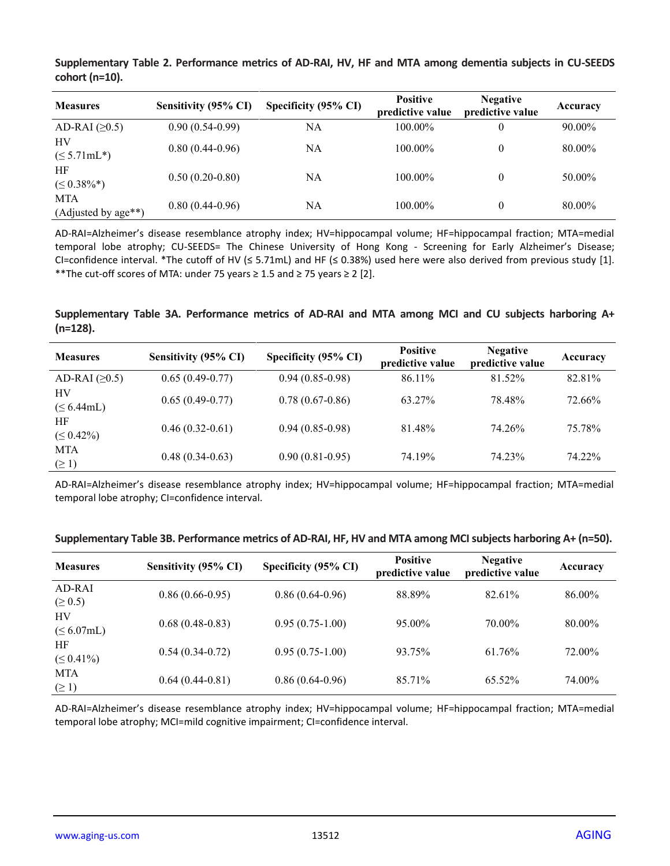**Supplementary Table 2. Performance metrics of AD-RAI, HV, HF and MTA among dementia subjects in CU-SEEDS cohort (n=10).**

| <b>Measures</b>                   | Sensitivity (95% CI) | Specificity (95% CI) | <b>Positive</b><br>predictive value | <b>Negative</b><br>predictive value | Accuracy |
|-----------------------------------|----------------------|----------------------|-------------------------------------|-------------------------------------|----------|
| AD-RAI $(≥0.5)$                   | $0.90(0.54-0.99)$    | NA                   | 100.00%                             |                                     | 90.00%   |
| HV<br>$(\leq 5.71$ mL*)           | $0.80(0.44-0.96)$    | NA                   | 100.00%                             | $\theta$                            | 80.00%   |
| HF<br>$(\leq 0.38\%^*)$           | $0.50(0.20-0.80)$    | NA                   | 100.00%                             | 0                                   | 50.00%   |
| <b>MTA</b><br>(Adjusted by age**) | $0.80(0.44-0.96)$    | NA                   | 100.00%                             | 0                                   | 80.00%   |

AD-RAI=Alzheimer's disease resemblance atrophy index; HV=hippocampal volume; HF=hippocampal fraction; MTA=medial temporal lobe atrophy; CU-SEEDS= The Chinese University of Hong Kong - Screening for Early Alzheimer's Disease; CI=confidence interval. \*The cutoff of HV ( $\leq$  5.71mL) and HF ( $\leq$  0.38%) used here were also derived from previous study [1]. \*\*The cut-off scores of MTA: under 75 years ≥ 1.5 and ≥ 75 years ≥ 2 [2].

**Supplementary Table 3A. Performance metrics of AD-RAI and MTA among MCI and CU subjects harboring A+ (n=128).**

| <b>Measures</b>          | Sensitivity (95% CI) | Specificity (95% CI) | <b>Positive</b><br>predictive value | <b>Negative</b><br>predictive value | Accuracy |
|--------------------------|----------------------|----------------------|-------------------------------------|-------------------------------------|----------|
| AD-RAI $(≥0.5)$          | $0.65(0.49-0.77)$    | $0.94(0.85-0.98)$    | 86.11%                              | 81.52%                              | 82.81%   |
| HV<br>$(\leq 6.44$ mL)   | $0.65(0.49-0.77)$    | $0.78(0.67-0.86)$    | 63.27%                              | 78.48%                              | 72.66%   |
| HF<br>$( \leq 0.42\%)$   | $0.46(0.32-0.61)$    | $0.94(0.85-0.98)$    | 81.48%                              | 74.26%                              | 75.78%   |
| <b>MTA</b><br>$(\geq 1)$ | $0.48(0.34-0.63)$    | $0.90(0.81-0.95)$    | 74.19%                              | 74.23%                              | 74.22%   |

AD-RAI=Alzheimer's disease resemblance atrophy index; HV=hippocampal volume; HF=hippocampal fraction; MTA=medial temporal lobe atrophy; CI=confidence interval.

| <b>Measures</b>          | Sensitivity (95% CI) | Specificity (95% CI) | <b>Positive</b><br>predictive value | <b>Negative</b><br>predictive value | Accuracy |
|--------------------------|----------------------|----------------------|-------------------------------------|-------------------------------------|----------|
| AD-RAI<br>$( \ge 0.5)$   | $0.86(0.66-0.95)$    | $0.86(0.64-0.96)$    | 88.89%                              | 82.61%                              | 86.00%   |
| HV<br>$(\leq 6.07$ mL)   | $0.68(0.48-0.83)$    | $0.95(0.75-1.00)$    | 95.00%                              | 70.00%                              | 80.00%   |
| HF<br>$( \leq 0.41\%)$   | $0.54(0.34-0.72)$    | $0.95(0.75-1.00)$    | 93.75%                              | 61.76%                              | 72.00%   |
| <b>MTA</b><br>$(\geq 1)$ | $0.64(0.44-0.81)$    | $0.86(0.64-0.96)$    | 85.71%                              | 65.52%                              | 74.00%   |

**Supplementary Table 3B. Performance metrics of AD-RAI, HF, HV and MTA among MCI subjects harboring A+ (n=50).**

AD-RAI=Alzheimer's disease resemblance atrophy index; HV=hippocampal volume; HF=hippocampal fraction; MTA=medial temporal lobe atrophy; MCI=mild cognitive impairment; CI=confidence interval.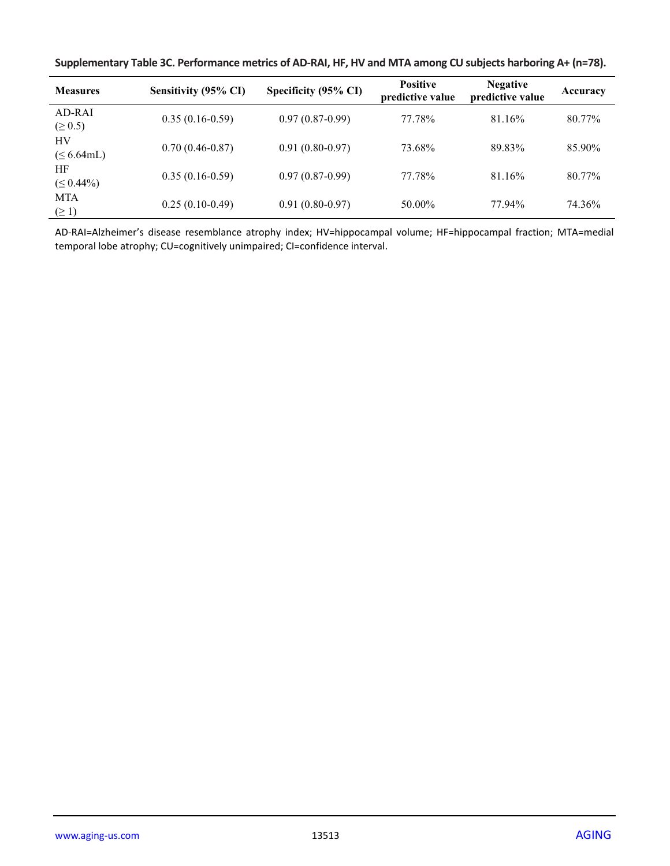|  |  | Supplementary Table 3C. Performance metrics of AD-RAI, HF, HV and MTA among CU subjects harboring A+ (n=78). |
|--|--|--------------------------------------------------------------------------------------------------------------|
|--|--|--------------------------------------------------------------------------------------------------------------|

| <b>Measures</b>          | Sensitivity (95% CI) | Specificity (95% CI) | <b>Positive</b><br>predictive value | <b>Negative</b><br>predictive value | Accuracy |
|--------------------------|----------------------|----------------------|-------------------------------------|-------------------------------------|----------|
| $AD-RAI$<br>$( \ge 0.5)$ | $0.35(0.16-0.59)$    | $0.97(0.87-0.99)$    | 77.78%                              | 81.16%                              | 80.77%   |
| HV<br>$(\leq 6.64$ mL)   | $0.70(0.46-0.87)$    | $0.91(0.80-0.97)$    | 73.68%                              | 89.83%                              | 85.90%   |
| HF<br>$( \leq 0.44\%)$   | $0.35(0.16-0.59)$    | $0.97(0.87-0.99)$    | 77.78%                              | 81.16%                              | 80.77%   |
| <b>MTA</b><br>$(\geq 1)$ | $0.25(0.10-0.49)$    | $0.91(0.80-0.97)$    | 50.00%                              | 77.94%                              | 74.36%   |

AD-RAI=Alzheimer's disease resemblance atrophy index; HV=hippocampal volume; HF=hippocampal fraction; MTA=medial temporal lobe atrophy; CU=cognitively unimpaired; CI=confidence interval.